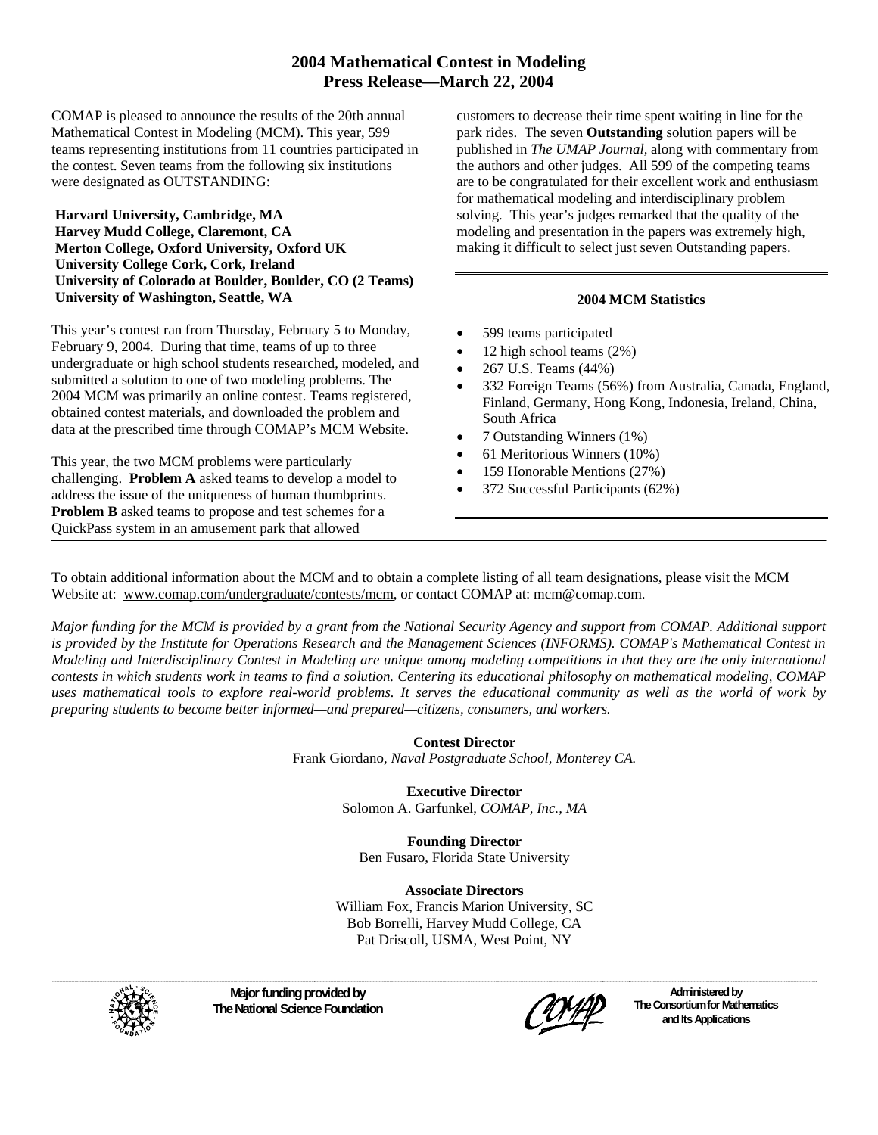# **2004 Mathematical Contest in Modeling Press Release—March 22, 2004**

COMAP is pleased to announce the results of the 20th annual Mathematical Contest in Modeling (MCM). This year, 599 teams representing institutions from 11 countries participated in the contest. Seven teams from the following six institutions were designated as OUTSTANDING:

#### **Harvard University, Cambridge, MA Harvey Mudd College, Claremont, CA Merton College, Oxford University, Oxford UK University College Cork, Cork, Ireland University of Colorado at Boulder, Boulder, CO (2 Teams) University of Washington, Seattle, WA**

This year's contest ran from Thursday, February 5 to Monday, February 9, 2004. During that time, teams of up to three undergraduate or high school students researched, modeled, and submitted a solution to one of two modeling problems. The 2004 MCM was primarily an online contest. Teams registered, obtained contest materials, and downloaded the problem and data at the prescribed time through COMAP's MCM Website.

This year, the two MCM problems were particularly challenging. **Problem A** asked teams to develop a model to address the issue of the uniqueness of human thumbprints. **Problem B** asked teams to propose and test schemes for a QuickPass system in an amusement park that allowed

customers to decrease their time spent waiting in line for the park rides. The seven **Outstanding** solution papers will be published in *The UMAP Journal,* along with commentary from the authors and other judges. All 599 of the competing teams are to be congratulated for their excellent work and enthusiasm for mathematical modeling and interdisciplinary problem solving. This year's judges remarked that the quality of the modeling and presentation in the papers was extremely high, making it difficult to select just seven Outstanding papers.

## **2004 MCM Statistics**

- 599 teams participated
- 12 high school teams (2%)
- 267 U.S. Teams (44%)
- 332 Foreign Teams (56%) from Australia, Canada, England, Finland, Germany, Hong Kong, Indonesia, Ireland, China, South Africa
- 7 Outstanding Winners (1%)
- 61 Meritorious Winners (10%)
- 159 Honorable Mentions (27%)
- 372 Successful Participants (62%)

To obtain additional information about the MCM and to obtain a complete listing of all team designations, please visit the MCM Website at: [www.comap.com/](http://www.comap.com/mcm.htm)undergraduate/contests/mcm, or contact COMAP at: mcm@comap.com.

*Major funding for the MCM is provided by a grant from the National Security Agency and support from COMAP. Additional support is provided by the Institute for Operations Research and the Management Sciences (INFORMS). COMAP's Mathematical Contest in Modeling and Interdisciplinary Contest in Modeling are unique among modeling competitions in that they are the only international contests in which students work in teams to find a solution. Centering its educational philosophy on mathematical modeling, COMAP uses mathematical tools to explore real-world problems. It serves the educational community as well as the world of work by preparing students to become better informed—and prepared—citizens, consumers, and workers.* 

#### **Contest Director**

Frank Giordano*, Naval Postgraduate School, Monterey CA.* 

**Executive Director**  Solomon A. Garfunkel, *COMAP, Inc., MA*

**Founding Director**  Ben Fusaro, Florida State University

**Associate Directors**  William Fox, Francis Marion University, SC Bob Borrelli, Harvey Mudd College, CA Pat Driscoll, USMA, West Point, NY



**Major funding provided by The National Science Foundation** 

**Administered by The Consortium for Mathematics and Its Applications**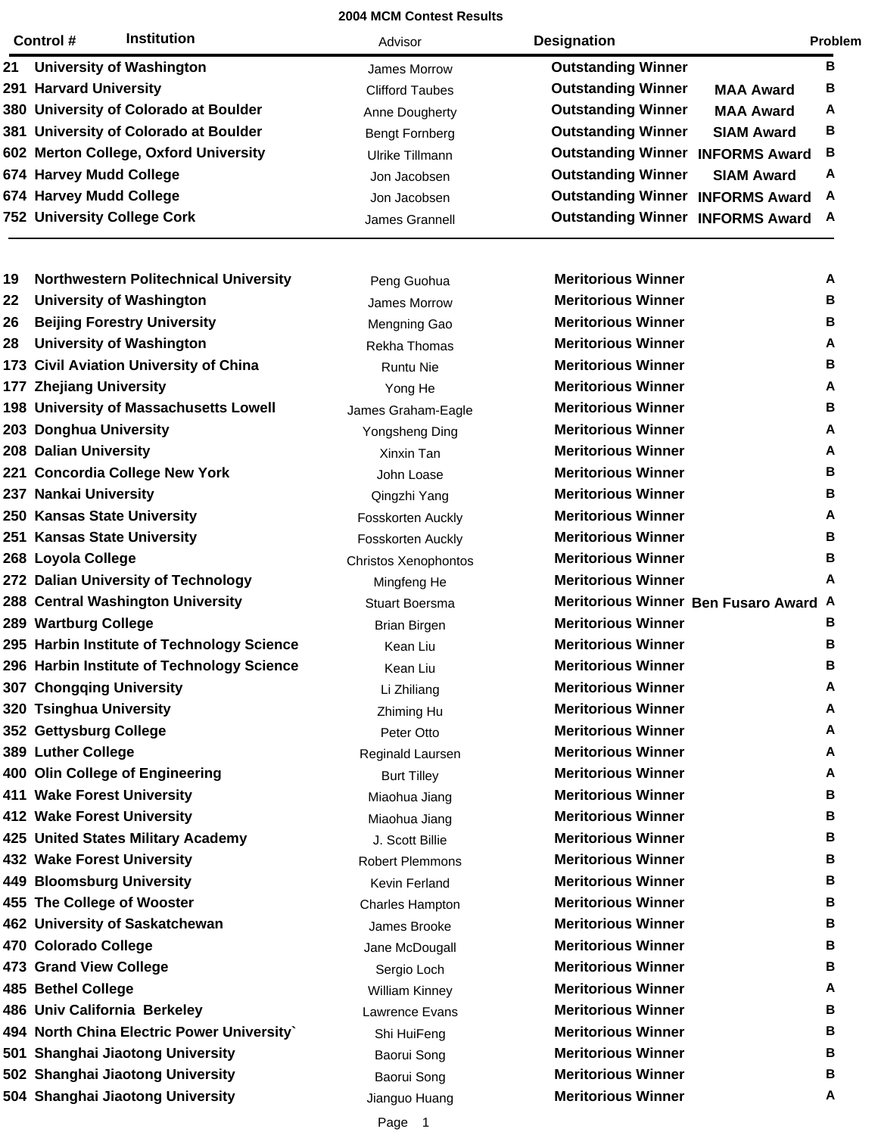|    | Control#                    | <b>Institution</b>                    | Advisor                | <b>Designation</b>                 |                      | Problem |
|----|-----------------------------|---------------------------------------|------------------------|------------------------------------|----------------------|---------|
| 21 |                             | <b>University of Washington</b>       | James Morrow           | <b>Outstanding Winner</b>          |                      | в       |
|    | 291 Harvard University      |                                       | <b>Clifford Taubes</b> | <b>Outstanding Winner</b>          | <b>MAA Award</b>     | В       |
|    |                             | 380 University of Colorado at Boulder | Anne Dougherty         | <b>Outstanding Winner</b>          | <b>MAA Award</b>     | A       |
|    |                             | 381 University of Colorado at Boulder | Bengt Fornberg         | <b>Outstanding Winner</b>          | <b>SIAM Award</b>    | в       |
|    |                             | 602 Merton College, Oxford University | Ulrike Tillmann        | <b>Outstanding Winner</b>          | <b>INFORMS Award</b> | В       |
|    | 674 Harvey Mudd College     |                                       | Jon Jacobsen           | <b>Outstanding Winner</b>          | <b>SIAM Award</b>    | A       |
|    | 674 Harvey Mudd College     |                                       | Jon Jacobsen           | Outstanding Winner INFORMS Award A |                      |         |
|    | 752 University College Cork |                                       | James Grannell         | Outstanding Winner INFORMS Award A |                      |         |

| 19 | <b>Northwestern Politechnical University</b> | Peng Guohua            | <b>Meritorious Winner</b> | A                                     |
|----|----------------------------------------------|------------------------|---------------------------|---------------------------------------|
| 22 | <b>University of Washington</b>              | James Morrow           | <b>Meritorious Winner</b> | в                                     |
| 26 | <b>Beijing Forestry University</b>           | Mengning Gao           | <b>Meritorious Winner</b> | в                                     |
| 28 | <b>University of Washington</b>              | Rekha Thomas           | <b>Meritorious Winner</b> | A                                     |
|    | 173 Civil Aviation University of China       | <b>Runtu Nie</b>       | <b>Meritorious Winner</b> | в                                     |
|    | 177 Zhejiang University                      | Yong He                | <b>Meritorious Winner</b> | А                                     |
|    | 198 University of Massachusetts Lowell       | James Graham-Eagle     | <b>Meritorious Winner</b> | в                                     |
|    | 203 Donghua University                       | Yongsheng Ding         | <b>Meritorious Winner</b> | A                                     |
|    | 208 Dalian University                        | Xinxin Tan             | <b>Meritorious Winner</b> | A                                     |
|    | 221 Concordia College New York               | John Loase             | <b>Meritorious Winner</b> | в                                     |
|    | 237 Nankai University                        | Qingzhi Yang           | <b>Meritorious Winner</b> | в                                     |
|    | 250 Kansas State University                  | Fosskorten Auckly      | <b>Meritorious Winner</b> | A                                     |
|    | 251 Kansas State University                  | Fosskorten Auckly      | <b>Meritorious Winner</b> | в                                     |
|    | 268 Loyola College                           | Christos Xenophontos   | <b>Meritorious Winner</b> | в                                     |
|    | 272 Dalian University of Technology          | Mingfeng He            | <b>Meritorious Winner</b> | А                                     |
|    | 288 Central Washington University            | <b>Stuart Boersma</b>  |                           | Meritorious Winner Ben Fusaro Award A |
|    | 289 Wartburg College                         | <b>Brian Birgen</b>    | <b>Meritorious Winner</b> | в                                     |
|    | 295 Harbin Institute of Technology Science   | Kean Liu               | <b>Meritorious Winner</b> | в                                     |
|    | 296 Harbin Institute of Technology Science   | Kean Liu               | <b>Meritorious Winner</b> | в                                     |
|    | 307 Chongqing University                     | Li Zhiliang            | <b>Meritorious Winner</b> | A                                     |
|    | 320 Tsinghua University                      | Zhiming Hu             | <b>Meritorious Winner</b> | A                                     |
|    | 352 Gettysburg College                       | Peter Otto             | <b>Meritorious Winner</b> | A                                     |
|    | 389 Luther College                           | Reginald Laursen       | <b>Meritorious Winner</b> | A                                     |
|    | 400 Olin College of Engineering              | <b>Burt Tilley</b>     | <b>Meritorious Winner</b> | A                                     |
|    | 411 Wake Forest University                   | Miaohua Jiang          | <b>Meritorious Winner</b> | в                                     |
|    | 412 Wake Forest University                   | Miaohua Jiang          | <b>Meritorious Winner</b> | в                                     |
|    | 425 United States Military Academy           | J. Scott Billie        | <b>Meritorious Winner</b> | в                                     |
|    | 432 Wake Forest University                   | <b>Robert Plemmons</b> | <b>Meritorious Winner</b> | в                                     |
|    | 449 Bloomsburg University                    | Kevin Ferland          | <b>Meritorious Winner</b> | в                                     |
|    | 455 The College of Wooster                   | Charles Hampton        | <b>Meritorious Winner</b> | в                                     |
|    | 462 University of Saskatchewan               | James Brooke           | <b>Meritorious Winner</b> | в                                     |
|    | 470 Colorado College                         | Jane McDougall         | <b>Meritorious Winner</b> | в                                     |
|    | 473 Grand View College                       | Sergio Loch            | <b>Meritorious Winner</b> | в                                     |
|    | 485 Bethel College                           | William Kinney         | <b>Meritorious Winner</b> | A                                     |
|    | 486 Univ California Berkeley                 | Lawrence Evans         | <b>Meritorious Winner</b> | в                                     |
|    | 494 North China Electric Power University`   | Shi HuiFeng            | <b>Meritorious Winner</b> | в                                     |
|    | 501 Shanghai Jiaotong University             | Baorui Song            | <b>Meritorious Winner</b> | в                                     |
|    | 502 Shanghai Jiaotong University             | Baorui Song            | <b>Meritorious Winner</b> | в                                     |
|    | 504 Shanghai Jiaotong University             | Jianguo Huang          | <b>Meritorious Winner</b> | A                                     |
|    |                                              |                        |                           |                                       |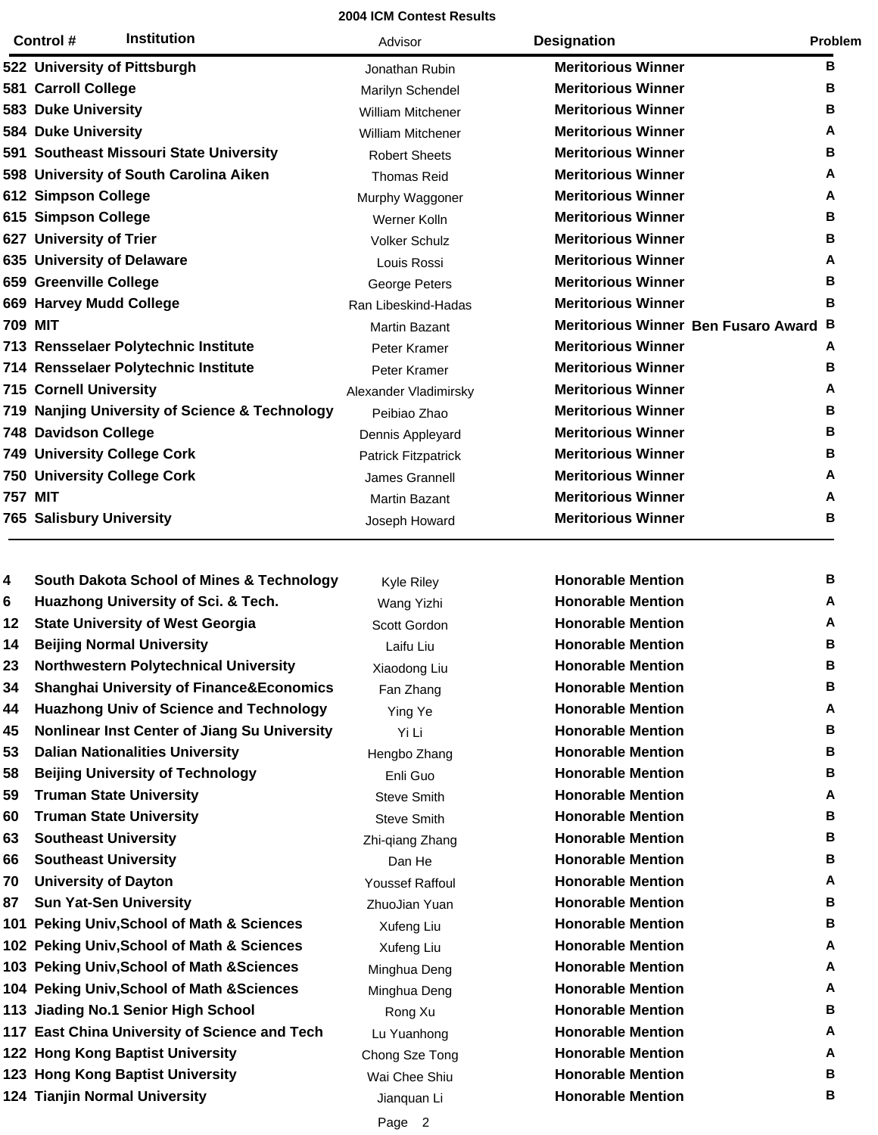|                | Control #                       | <b>Institution</b>                             | Advisor                  | <b>Designation</b>                  | Problem |
|----------------|---------------------------------|------------------------------------------------|--------------------------|-------------------------------------|---------|
|                |                                 | 522 University of Pittsburgh                   | Jonathan Rubin           | <b>Meritorious Winner</b>           | в       |
|                | 581 Carroll College             |                                                | Marilyn Schendel         | <b>Meritorious Winner</b>           | В       |
|                | 583 Duke University             |                                                | William Mitchener        | <b>Meritorious Winner</b>           | В       |
|                | <b>584 Duke University</b>      |                                                | <b>William Mitchener</b> | <b>Meritorious Winner</b>           | A       |
|                |                                 | 591 Southeast Missouri State University        | <b>Robert Sheets</b>     | <b>Meritorious Winner</b>           | в       |
|                |                                 | 598 University of South Carolina Aiken         | <b>Thomas Reid</b>       | <b>Meritorious Winner</b>           | A       |
|                | 612 Simpson College             |                                                | Murphy Waggoner          | <b>Meritorious Winner</b>           | Α       |
|                | 615 Simpson College             |                                                | Werner Kolln             | <b>Meritorious Winner</b>           | в       |
|                | 627 University of Trier         |                                                | <b>Volker Schulz</b>     | <b>Meritorious Winner</b>           | в       |
|                |                                 | 635 University of Delaware                     | Louis Rossi              | <b>Meritorious Winner</b>           | A       |
|                | 659 Greenville College          |                                                | George Peters            | <b>Meritorious Winner</b>           | В       |
|                |                                 | 669 Harvey Mudd College                        | Ran Libeskind-Hadas      | <b>Meritorious Winner</b>           | в       |
| <b>709 MIT</b> |                                 |                                                | <b>Martin Bazant</b>     | Meritorious Winner Ben Fusaro Award | в       |
|                |                                 | 713 Rensselaer Polytechnic Institute           | Peter Kramer             | <b>Meritorious Winner</b>           | A       |
|                |                                 | 714 Rensselaer Polytechnic Institute           | Peter Kramer             | <b>Meritorious Winner</b>           | в       |
|                | <b>715 Cornell University</b>   |                                                | Alexander Vladimirsky    | <b>Meritorious Winner</b>           | Α       |
|                |                                 | 719 Nanjing University of Science & Technology | Peibiao Zhao             | <b>Meritorious Winner</b>           | в       |
|                | <b>748 Davidson College</b>     |                                                | Dennis Appleyard         | <b>Meritorious Winner</b>           | В       |
|                |                                 | <b>749 University College Cork</b>             | Patrick Fitzpatrick      | <b>Meritorious Winner</b>           | в       |
|                |                                 | <b>750 University College Cork</b>             | James Grannell           | <b>Meritorious Winner</b>           | A       |
| <b>757 MIT</b> |                                 |                                                | <b>Martin Bazant</b>     | <b>Meritorious Winner</b>           | A       |
|                | <b>765 Salisbury University</b> |                                                | Joseph Howard            | <b>Meritorious Winner</b>           | В       |
|                |                                 |                                                |                          |                                     |         |

 **Huazhong University of Sci. & Tech.** Wang Yizhi **Honorable Mention A** 12 State University of West Georgia **A** Scott Gordon **Branch Honorable Mention A Beijing Normal University** Laifu Liu **Honorable Mention B** Northwestern Polytechnical University **Xiaodong Liu Honorable Mention B Shanghai University of Finance&Economics** Fan Zhang **Honorable Mention B Huazhong Univ of Science and Technology** Ying Ye **Honorable Mention A Nonlinear Inst Center of Jiang Su University** Yi Li **Honorable Mention B Dalian Nationalities University Hengbo Zhang Honorable Mention B B Beijing University of Technology** Enli Guo **Honorable Mention B 59 Truman State University A A Steve Smith Honorable Mention A Truman State University <b>B B** Steve Smith **State Smith Honorable Mention B B Southeast University B B Zhi-qiang Zhang <b>Honorable Mention B Southeast University** Dan He **Honorable Mention B University of Dayton** Youssef Raffoul **Honorable Mention A Sun Yat-Sen University** ZhuoJian Yuan **Honorable Mention B Peking Univ, School of Math & Sciences** Xufeng Liu **Honorable Mention B** 102 Peking Univ, School of Math & Sciences **Xufeng Liu Honorable Mention A Peking Univ,School of Math &Sciences** Minghua Deng **Honorable Mention A Peking Univ,School of Math &Sciences** Minghua Deng **Honorable Mention A**  Jiading No.1 Senior High School **Rong Xu** Rong Xu **Honorable Mention B 117 East China University of Science and Tech** Lu Yuanhong **Honorable Mention A 122 Hong Kong Baptist University Chong Sze Tong <b>Honorable Mention A 123 Hong Kong Baptist University Manual Chee Shiu <b>Honorable Mention B B 124 Tianjin Normal University Conserversity** Jianquan Li **Honorable Mention B** 

**4 South Dakota School of Mines & Technology Kyle Riley <b>Honorable Mention B** 

Page 2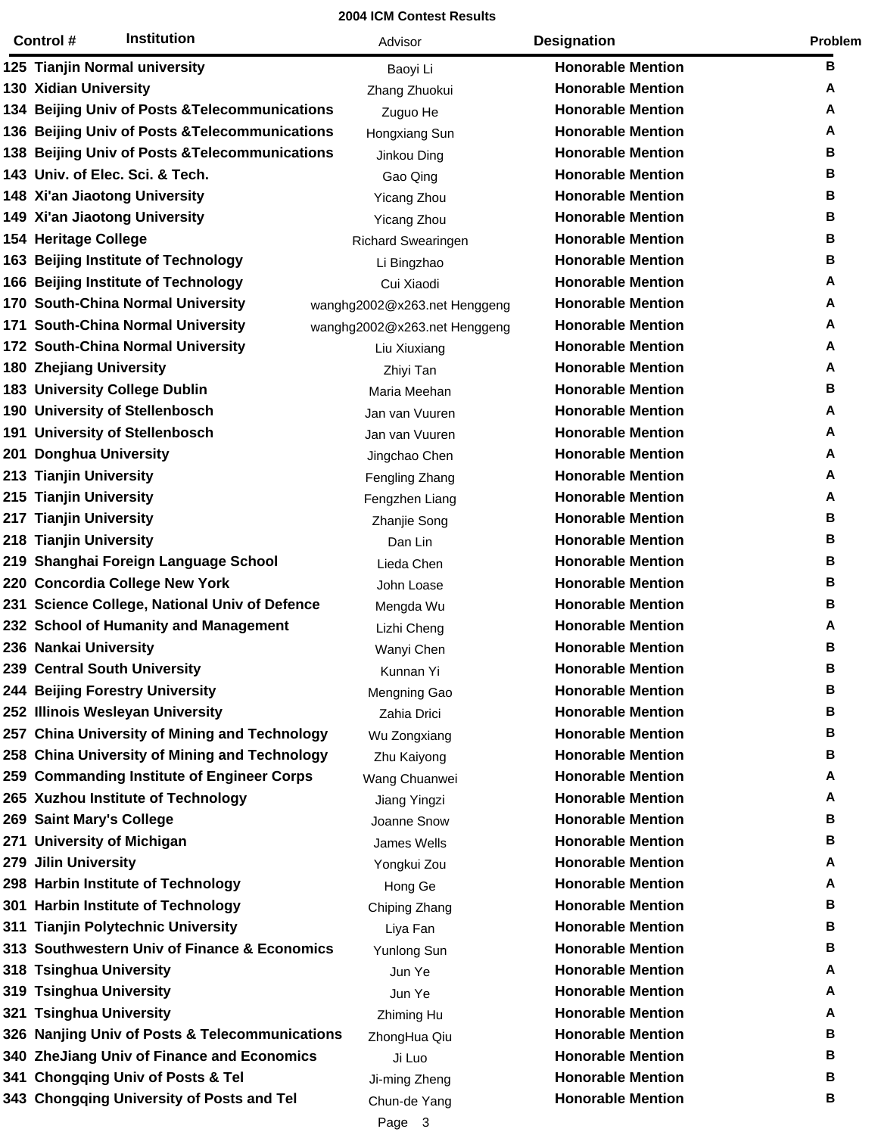| Control #                      | <b>Institution</b>                             | Advisor                      | <b>Designation</b>       | Problem |
|--------------------------------|------------------------------------------------|------------------------------|--------------------------|---------|
|                                | 125 Tianjin Normal university                  | Baoyi Li                     | <b>Honorable Mention</b> | B       |
| 130 Xidian University          |                                                | Zhang Zhuokui                | <b>Honorable Mention</b> | A       |
|                                | 134 Beijing Univ of Posts & Telecommunications | Zuguo He                     | <b>Honorable Mention</b> | A       |
|                                | 136 Beijing Univ of Posts & Telecommunications | Hongxiang Sun                | <b>Honorable Mention</b> | A       |
|                                | 138 Beijing Univ of Posts & Telecommunications | Jinkou Ding                  | <b>Honorable Mention</b> | В       |
|                                | 143 Univ. of Elec. Sci. & Tech.                | Gao Qing                     | <b>Honorable Mention</b> | в       |
|                                | 148 Xi'an Jiaotong University                  | <b>Yicang Zhou</b>           | <b>Honorable Mention</b> | В       |
|                                | 149 Xi'an Jiaotong University                  | <b>Yicang Zhou</b>           | <b>Honorable Mention</b> | B       |
| <b>154 Heritage College</b>    |                                                | <b>Richard Swearingen</b>    | <b>Honorable Mention</b> | B       |
|                                | 163 Beijing Institute of Technology            | Li Bingzhao                  | <b>Honorable Mention</b> | B       |
|                                | 166 Beijing Institute of Technology            | Cui Xiaodi                   | <b>Honorable Mention</b> | A       |
|                                | 170 South-China Normal University              | wanghg2002@x263.net Henggeng | <b>Honorable Mention</b> | Α       |
|                                | 171 South-China Normal University              | wanghg2002@x263.net Henggeng | <b>Honorable Mention</b> | A       |
|                                | 172 South-China Normal University              | Liu Xiuxiang                 | <b>Honorable Mention</b> | A       |
| <b>180 Zhejiang University</b> |                                                | Zhiyi Tan                    | <b>Honorable Mention</b> | A       |
|                                | <b>183 University College Dublin</b>           | Maria Meehan                 | <b>Honorable Mention</b> | B       |
|                                | 190 University of Stellenbosch                 | Jan van Vuuren               | <b>Honorable Mention</b> | A       |
|                                | 191 University of Stellenbosch                 | Jan van Vuuren               | <b>Honorable Mention</b> | A       |
| 201 Donghua University         |                                                | Jingchao Chen                | <b>Honorable Mention</b> | A       |
| 213 Tianjin University         |                                                | Fengling Zhang               | <b>Honorable Mention</b> | Α       |
| 215 Tianjin University         |                                                | Fengzhen Liang               | <b>Honorable Mention</b> | A       |
| 217 Tianjin University         |                                                | Zhanjie Song                 | <b>Honorable Mention</b> | в       |
| 218 Tianjin University         |                                                | Dan Lin                      | <b>Honorable Mention</b> | в       |
|                                | 219 Shanghai Foreign Language School           | Lieda Chen                   | <b>Honorable Mention</b> | B       |
|                                | 220 Concordia College New York                 | John Loase                   | <b>Honorable Mention</b> | в       |
|                                | 231 Science College, National Univ of Defence  | Mengda Wu                    | <b>Honorable Mention</b> | в       |
|                                | 232 School of Humanity and Management          | Lizhi Cheng                  | <b>Honorable Mention</b> | A       |
| 236 Nankai University          |                                                | Wanyi Chen                   | <b>Honorable Mention</b> | В       |
|                                | 239 Central South University                   | Kunnan Yi                    | <b>Honorable Mention</b> | B       |
|                                | 244 Beijing Forestry University                | Mengning Gao                 | <b>Honorable Mention</b> | в       |
|                                | 252 Illinois Wesleyan University               | Zahia Drici                  | <b>Honorable Mention</b> | В       |
|                                | 257 China University of Mining and Technology  | Wu Zongxiang                 | <b>Honorable Mention</b> | В       |
|                                | 258 China University of Mining and Technology  | Zhu Kaiyong                  | <b>Honorable Mention</b> | В       |
|                                | 259 Commanding Institute of Engineer Corps     | Wang Chuanwei                | <b>Honorable Mention</b> | A       |
|                                | 265 Xuzhou Institute of Technology             | Jiang Yingzi                 | <b>Honorable Mention</b> | A       |
| 269 Saint Mary's College       |                                                | Joanne Snow                  | <b>Honorable Mention</b> | в       |
|                                | 271 University of Michigan                     | James Wells                  | <b>Honorable Mention</b> | В       |
| 279 Jilin University           |                                                | Yongkui Zou                  | <b>Honorable Mention</b> | A       |
|                                | 298 Harbin Institute of Technology             | Hong Ge                      | <b>Honorable Mention</b> | A       |
|                                | 301 Harbin Institute of Technology             | Chiping Zhang                | <b>Honorable Mention</b> | В       |
|                                | 311 Tianjin Polytechnic University             | Liya Fan                     | <b>Honorable Mention</b> | В       |
|                                | 313 Southwestern Univ of Finance & Economics   | Yunlong Sun                  | <b>Honorable Mention</b> | в       |
| 318 Tsinghua University        |                                                | Jun Ye                       | <b>Honorable Mention</b> | A       |
| 319 Tsinghua University        |                                                | Jun Ye                       | <b>Honorable Mention</b> | A       |
| 321 Tsinghua University        |                                                | Zhiming Hu                   | <b>Honorable Mention</b> | A       |
|                                | 326 Nanjing Univ of Posts & Telecommunications | ZhongHua Qiu                 | <b>Honorable Mention</b> | В       |
|                                | 340 ZheJiang Univ of Finance and Economics     | Ji Luo                       | <b>Honorable Mention</b> | В       |
|                                | 341 Chongqing Univ of Posts & Tel              | Ji-ming Zheng                | <b>Honorable Mention</b> | В       |
|                                | 343 Chongqing University of Posts and Tel      | Chun-de Yang                 | <b>Honorable Mention</b> | в       |
|                                |                                                | Page 3                       |                          |         |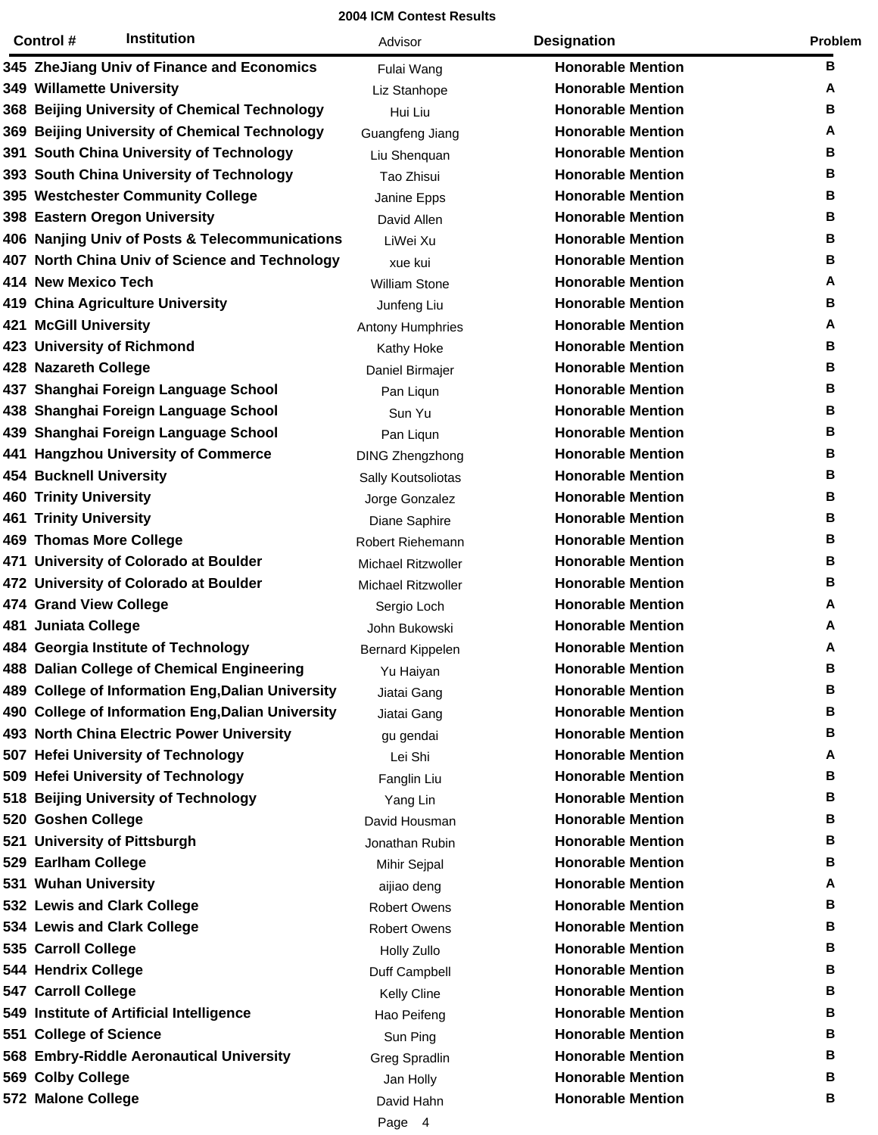| <b>Institution</b><br>Control #                   | Advisor                   | <b>Designation</b>       | Problem |
|---------------------------------------------------|---------------------------|--------------------------|---------|
| 345 ZheJiang Univ of Finance and Economics        | Fulai Wang                | <b>Honorable Mention</b> | в       |
| 349 Willamette University                         | Liz Stanhope              | <b>Honorable Mention</b> | A       |
| 368 Beijing University of Chemical Technology     | Hui Liu                   | <b>Honorable Mention</b> | в       |
| 369 Beijing University of Chemical Technology     | Guangfeng Jiang           | <b>Honorable Mention</b> | A       |
| 391 South China University of Technology          | Liu Shenquan              | <b>Honorable Mention</b> | В       |
| 393 South China University of Technology          | Tao Zhisui                | <b>Honorable Mention</b> | В       |
| 395 Westchester Community College                 | Janine Epps               | <b>Honorable Mention</b> | В       |
| 398 Eastern Oregon University                     | David Allen               | <b>Honorable Mention</b> | в       |
| 406 Nanjing Univ of Posts & Telecommunications    | LiWei Xu                  | <b>Honorable Mention</b> | В       |
| 407 North China Univ of Science and Technology    | xue kui                   | <b>Honorable Mention</b> | В       |
| 414 New Mexico Tech                               | <b>William Stone</b>      | <b>Honorable Mention</b> | A       |
| 419 China Agriculture University                  | Junfeng Liu               | <b>Honorable Mention</b> | в       |
| <b>421 McGill University</b>                      | Antony Humphries          | <b>Honorable Mention</b> | A       |
| 423 University of Richmond                        | Kathy Hoke                | <b>Honorable Mention</b> | В       |
| 428 Nazareth College                              | Daniel Birmajer           | <b>Honorable Mention</b> | В       |
| 437 Shanghai Foreign Language School              | Pan Liqun                 | <b>Honorable Mention</b> | в       |
| 438 Shanghai Foreign Language School              | Sun Yu                    | <b>Honorable Mention</b> | В       |
| 439 Shanghai Foreign Language School              | Pan Liqun                 | <b>Honorable Mention</b> | В       |
| 441 Hangzhou University of Commerce               | <b>DING Zhengzhong</b>    | <b>Honorable Mention</b> | В       |
| <b>454 Bucknell University</b>                    | Sally Koutsoliotas        | <b>Honorable Mention</b> | в       |
| <b>460 Trinity University</b>                     | Jorge Gonzalez            | <b>Honorable Mention</b> | В       |
| <b>461 Trinity University</b>                     | Diane Saphire             | <b>Honorable Mention</b> | В       |
| <b>469 Thomas More College</b>                    | Robert Riehemann          | <b>Honorable Mention</b> | В       |
| 471 University of Colorado at Boulder             | <b>Michael Ritzwoller</b> | <b>Honorable Mention</b> | в       |
| 472 University of Colorado at Boulder             | <b>Michael Ritzwoller</b> | <b>Honorable Mention</b> | В       |
| 474 Grand View College                            | Sergio Loch               | <b>Honorable Mention</b> | A       |
| 481 Juniata College                               | John Bukowski             | <b>Honorable Mention</b> | Α       |
| 484 Georgia Institute of Technology               | <b>Bernard Kippelen</b>   | <b>Honorable Mention</b> | A       |
| 488 Dalian College of Chemical Engineering        | Yu Haiyan                 | <b>Honorable Mention</b> | в       |
| 489 College of Information Eng, Dalian University | Jiatai Gang               | <b>Honorable Mention</b> | В       |
| 490 College of Information Eng, Dalian University | Jiatai Gang               | <b>Honorable Mention</b> | в       |
| 493 North China Electric Power University         | gu gendai                 | <b>Honorable Mention</b> | В       |
| 507 Hefei University of Technology                | Lei Shi                   | <b>Honorable Mention</b> | A       |
| 509 Hefei University of Technology                | Fanglin Liu               | <b>Honorable Mention</b> | В       |
| 518 Beijing University of Technology              | Yang Lin                  | <b>Honorable Mention</b> | В       |
| 520 Goshen College                                | David Housman             | <b>Honorable Mention</b> | В       |
| 521 University of Pittsburgh                      | Jonathan Rubin            | <b>Honorable Mention</b> | в       |
| 529 Earlham College                               | Mihir Sejpal              | <b>Honorable Mention</b> | В       |
| 531 Wuhan University                              | aijiao deng               | <b>Honorable Mention</b> | A       |
| 532 Lewis and Clark College                       | <b>Robert Owens</b>       | <b>Honorable Mention</b> | В       |
| 534 Lewis and Clark College                       | <b>Robert Owens</b>       | <b>Honorable Mention</b> | в       |
| 535 Carroll College                               | Holly Zullo               | <b>Honorable Mention</b> | В       |
| 544 Hendrix College                               | Duff Campbell             | <b>Honorable Mention</b> | В       |
| 547 Carroll College                               | <b>Kelly Cline</b>        | <b>Honorable Mention</b> | В       |
| 549 Institute of Artificial Intelligence          | Hao Peifeng               | <b>Honorable Mention</b> | в       |
| 551 College of Science                            | Sun Ping                  | <b>Honorable Mention</b> | В       |
| 568 Embry-Riddle Aeronautical University          | Greg Spradlin             | <b>Honorable Mention</b> | в       |
| 569 Colby College                                 | Jan Holly                 | <b>Honorable Mention</b> | В       |
| 572 Malone College                                | David Hahn                | <b>Honorable Mention</b> | в       |
|                                                   | Page 4                    |                          |         |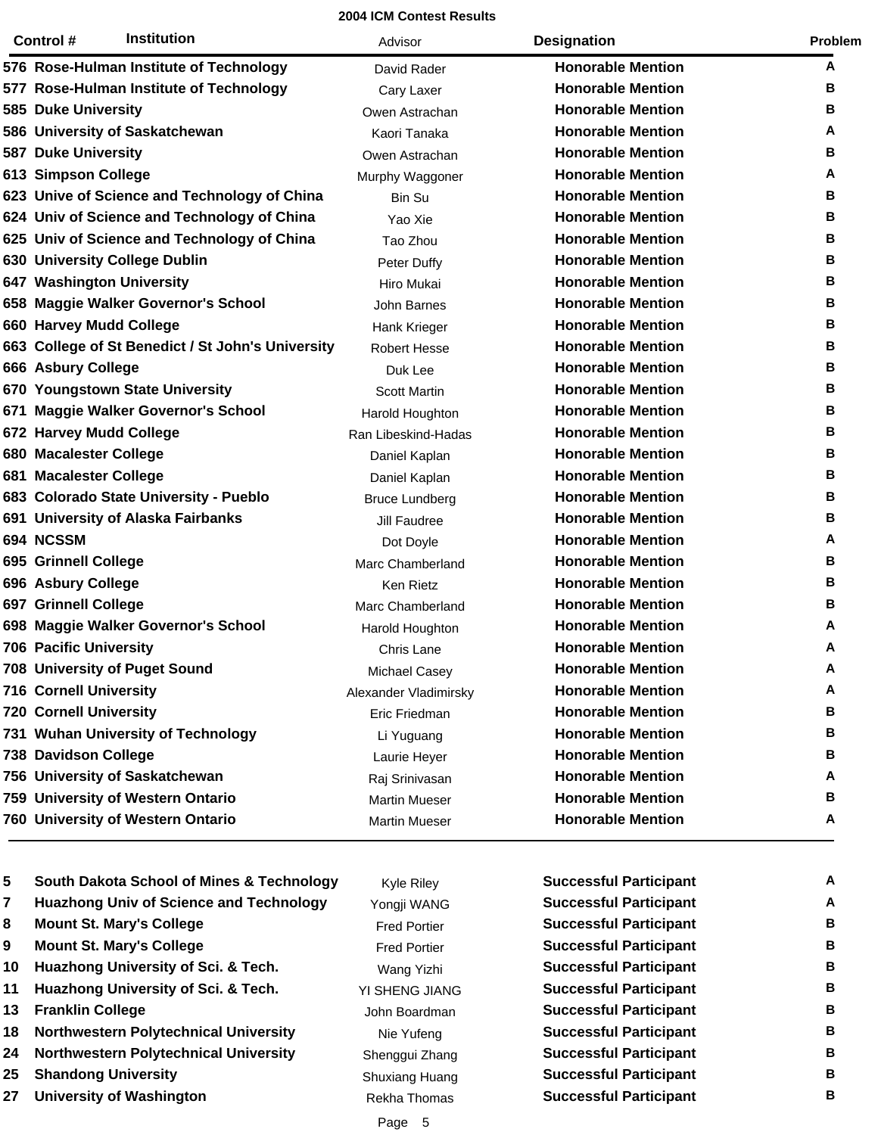| Institution<br>Control #                          | Advisor               | <b>Designation</b>       | Problem |
|---------------------------------------------------|-----------------------|--------------------------|---------|
| 576 Rose-Hulman Institute of Technology           | David Rader           | <b>Honorable Mention</b> | Α       |
| 577 Rose-Hulman Institute of Technology           | Cary Laxer            | <b>Honorable Mention</b> | в       |
| 585 Duke University                               | Owen Astrachan        | <b>Honorable Mention</b> | В       |
| 586 University of Saskatchewan                    | Kaori Tanaka          | <b>Honorable Mention</b> | A       |
| <b>587 Duke University</b>                        | Owen Astrachan        | <b>Honorable Mention</b> | В       |
| 613 Simpson College                               | Murphy Waggoner       | <b>Honorable Mention</b> | A       |
| 623 Unive of Science and Technology of China      | Bin Su                | <b>Honorable Mention</b> | В       |
| 624 Univ of Science and Technology of China       | Yao Xie               | <b>Honorable Mention</b> | В       |
| 625 Univ of Science and Technology of China       | Tao Zhou              | <b>Honorable Mention</b> | В       |
| 630 University College Dublin                     | Peter Duffy           | <b>Honorable Mention</b> | В       |
| 647 Washington University                         | Hiro Mukai            | <b>Honorable Mention</b> | В       |
| 658 Maggie Walker Governor's School               | John Barnes           | <b>Honorable Mention</b> | В       |
| 660 Harvey Mudd College                           | Hank Krieger          | <b>Honorable Mention</b> | В       |
| 663 College of St Benedict / St John's University | <b>Robert Hesse</b>   | <b>Honorable Mention</b> | В       |
| 666 Asbury College                                | Duk Lee               | <b>Honorable Mention</b> | В       |
| 670 Youngstown State University                   | <b>Scott Martin</b>   | <b>Honorable Mention</b> | В       |
| 671 Maggie Walker Governor's School               | Harold Houghton       | <b>Honorable Mention</b> | В       |
| 672 Harvey Mudd College                           | Ran Libeskind-Hadas   | <b>Honorable Mention</b> | В       |
| 680 Macalester College                            | Daniel Kaplan         | <b>Honorable Mention</b> | В       |
| 681 Macalester College                            | Daniel Kaplan         | <b>Honorable Mention</b> | В       |
| 683 Colorado State University - Pueblo            | <b>Bruce Lundberg</b> | <b>Honorable Mention</b> | В       |
| 691 University of Alaska Fairbanks                | Jill Faudree          | <b>Honorable Mention</b> | В       |
| 694 NCSSM                                         | Dot Doyle             | <b>Honorable Mention</b> | A       |
| 695 Grinnell College                              | Marc Chamberland      | <b>Honorable Mention</b> | В       |
| 696 Asbury College                                | Ken Rietz             | <b>Honorable Mention</b> | В       |
| 697 Grinnell College                              | Marc Chamberland      | <b>Honorable Mention</b> | В       |
| 698 Maggie Walker Governor's School               | Harold Houghton       | <b>Honorable Mention</b> | Α       |
| 706 Pacific University                            | Chris Lane            | <b>Honorable Mention</b> | A       |
| 708 University of Puget Sound                     | Michael Casey         | <b>Honorable Mention</b> | Α       |
| <b>716 Cornell University</b>                     | Alexander Vladimirsky | <b>Honorable Mention</b> | A       |
| <b>720 Cornell University</b>                     | Eric Friedman         | <b>Honorable Mention</b> | в       |
| 731 Wuhan University of Technology                | Li Yuguang            | <b>Honorable Mention</b> | в       |
| 738 Davidson College                              | Laurie Heyer          | <b>Honorable Mention</b> | в       |
| 756 University of Saskatchewan                    | Raj Srinivasan        | <b>Honorable Mention</b> | Α       |
| 759 University of Western Ontario                 | <b>Martin Mueser</b>  | <b>Honorable Mention</b> | В       |
| 760 University of Western Ontario                 | <b>Martin Mueser</b>  | <b>Honorable Mention</b> | A       |

| 5  | <b>South Dakota School of Mines &amp; Technology</b> | <b>Kyle Riley</b>   | <b>Successful Participant</b> | A |
|----|------------------------------------------------------|---------------------|-------------------------------|---|
| 7  | <b>Huazhong Univ of Science and Technology</b>       | Yongji WANG         | <b>Successful Participant</b> | A |
| 8  | <b>Mount St. Mary's College</b>                      | <b>Fred Portier</b> | <b>Successful Participant</b> | В |
| 9  | <b>Mount St. Mary's College</b>                      | <b>Fred Portier</b> | <b>Successful Participant</b> | В |
| 10 | Huazhong University of Sci. & Tech.                  | Wang Yizhi          | <b>Successful Participant</b> | В |
| 11 | Huazhong University of Sci. & Tech.                  | YI SHENG JIANG      | <b>Successful Participant</b> | В |
| 13 | <b>Franklin College</b>                              | John Boardman       | <b>Successful Participant</b> | В |
| 18 | <b>Northwestern Polytechnical University</b>         | Nie Yufeng          | <b>Successful Participant</b> | В |
| 24 | <b>Northwestern Polytechnical University</b>         | Shenggui Zhang      | <b>Successful Participant</b> | В |
| 25 | <b>Shandong University</b>                           | Shuxiang Huang      | <b>Successful Participant</b> | В |
| 27 | <b>University of Washington</b>                      | Rekha Thomas        | <b>Successful Participant</b> | в |

| <b>Successful Participant</b> | Α |
|-------------------------------|---|
| <b>Successful Participant</b> | Α |
| Successful Participant        | в |
| <b>Successful Participant</b> | в |
| <b>Successful Participant</b> | в |
| <b>Successful Participant</b> | в |
| <b>Successful Participant</b> | в |
| <b>Successful Participant</b> | в |
| <b>Successful Participant</b> | в |
| <b>Successful Participant</b> | в |
| <b>Successful Participant</b> | в |
|                               |   |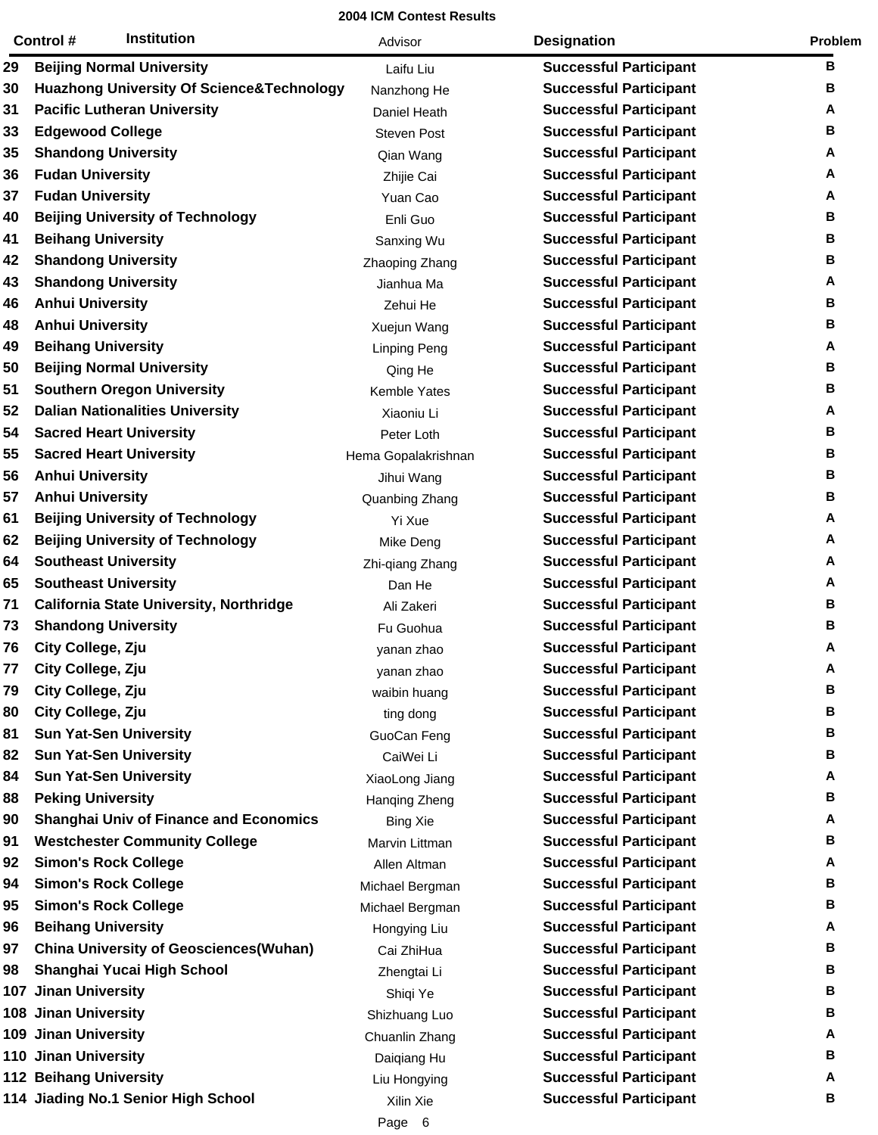|     | <b>Institution</b><br>Control #                      | Advisor             | <b>Designation</b>            | Problem |
|-----|------------------------------------------------------|---------------------|-------------------------------|---------|
| 29  | <b>Beijing Normal University</b>                     | Laifu Liu           | <b>Successful Participant</b> | в       |
| 30  | <b>Huazhong University Of Science&amp;Technology</b> | Nanzhong He         | <b>Successful Participant</b> | в       |
| 31  | <b>Pacific Lutheran University</b>                   | Daniel Heath        | <b>Successful Participant</b> | А       |
| 33  | <b>Edgewood College</b>                              | <b>Steven Post</b>  | <b>Successful Participant</b> | В       |
| 35  | <b>Shandong University</b>                           | Qian Wang           | <b>Successful Participant</b> | Α       |
| 36  | <b>Fudan University</b>                              | Zhijie Cai          | <b>Successful Participant</b> | Α       |
| 37  | <b>Fudan University</b>                              | Yuan Cao            | <b>Successful Participant</b> | А       |
| 40  | <b>Beijing University of Technology</b>              | Enli Guo            | <b>Successful Participant</b> | В       |
| 41  | <b>Beihang University</b>                            | Sanxing Wu          | <b>Successful Participant</b> | В       |
| 42  | <b>Shandong University</b>                           | Zhaoping Zhang      | <b>Successful Participant</b> | В       |
| 43  | <b>Shandong University</b>                           | Jianhua Ma          | <b>Successful Participant</b> | Α       |
| 46  | <b>Anhui University</b>                              | Zehui He            | <b>Successful Participant</b> | В       |
| 48  | <b>Anhui University</b>                              | Xuejun Wang         | <b>Successful Participant</b> | В       |
| 49  | <b>Beihang University</b>                            | <b>Linping Peng</b> | <b>Successful Participant</b> | Α       |
| 50  | <b>Beijing Normal University</b>                     | Qing He             | <b>Successful Participant</b> | В       |
| 51  | <b>Southern Oregon University</b>                    | Kemble Yates        | <b>Successful Participant</b> | В       |
| 52  | <b>Dalian Nationalities University</b>               | Xiaoniu Li          | <b>Successful Participant</b> | А       |
| 54  | <b>Sacred Heart University</b>                       | Peter Loth          | <b>Successful Participant</b> | В       |
| 55  | <b>Sacred Heart University</b>                       | Hema Gopalakrishnan | <b>Successful Participant</b> | В       |
| 56  | <b>Anhui University</b>                              | Jihui Wang          | <b>Successful Participant</b> | В       |
| 57  | <b>Anhui University</b>                              | Quanbing Zhang      | <b>Successful Participant</b> | В       |
| 61  | <b>Beijing University of Technology</b>              | Yi Xue              | <b>Successful Participant</b> | А       |
| 62  | <b>Beijing University of Technology</b>              | Mike Deng           | <b>Successful Participant</b> | A       |
| 64  | <b>Southeast University</b>                          | Zhi-qiang Zhang     | <b>Successful Participant</b> | Α       |
| 65  | <b>Southeast University</b>                          | Dan He              | <b>Successful Participant</b> | Α       |
| 71  | California State University, Northridge              | Ali Zakeri          | <b>Successful Participant</b> | В       |
| 73  | <b>Shandong University</b>                           | Fu Guohua           | <b>Successful Participant</b> | В       |
| 76  | City College, Zju                                    | yanan zhao          | <b>Successful Participant</b> | A       |
| 77  | City College, Zju                                    | yanan zhao          | <b>Successful Participant</b> | Α       |
| 79  | City College, Zju                                    | waibin huang        | <b>Successful Participant</b> | В       |
| 80  | City College, Zju                                    | ting dong           | <b>Successful Participant</b> | в       |
| 81  | <b>Sun Yat-Sen University</b>                        | GuoCan Feng         | <b>Successful Participant</b> | в       |
| 82  | <b>Sun Yat-Sen University</b>                        | CaiWei Li           | <b>Successful Participant</b> | в       |
| 84  | <b>Sun Yat-Sen University</b>                        | XiaoLong Jiang      | <b>Successful Participant</b> | Α       |
| 88  | <b>Peking University</b>                             | Hanging Zheng       | <b>Successful Participant</b> | В       |
| 90  | <b>Shanghai Univ of Finance and Economics</b>        | <b>Bing Xie</b>     | <b>Successful Participant</b> | Α       |
| 91  | <b>Westchester Community College</b>                 | Marvin Littman      | <b>Successful Participant</b> | В       |
| 92  | <b>Simon's Rock College</b>                          | Allen Altman        | <b>Successful Participant</b> | А       |
| 94  | <b>Simon's Rock College</b>                          | Michael Bergman     | <b>Successful Participant</b> | в       |
| 95  | <b>Simon's Rock College</b>                          | Michael Bergman     | <b>Successful Participant</b> | в       |
| 96  | <b>Beihang University</b>                            | Hongying Liu        | <b>Successful Participant</b> | Α       |
| 97  | <b>China University of Geosciences(Wuhan)</b>        | Cai ZhiHua          | <b>Successful Participant</b> | в       |
| 98  | Shanghai Yucai High School                           | Zhengtai Li         | <b>Successful Participant</b> | в       |
| 107 | <b>Jinan University</b>                              | Shiqi Ye            | <b>Successful Participant</b> | в       |
|     | 108 Jinan University                                 | Shizhuang Luo       | <b>Successful Participant</b> | в       |
|     | 109 Jinan University                                 | Chuanlin Zhang      | <b>Successful Participant</b> | А       |
|     | 110 Jinan University                                 | Daiqiang Hu         | <b>Successful Participant</b> | В       |
|     | <b>112 Beihang University</b>                        | Liu Hongying        | <b>Successful Participant</b> | Α       |
|     | 114 Jiading No.1 Senior High School                  | Xilin Xie           | <b>Successful Participant</b> | В       |
|     |                                                      | Page 6              |                               |         |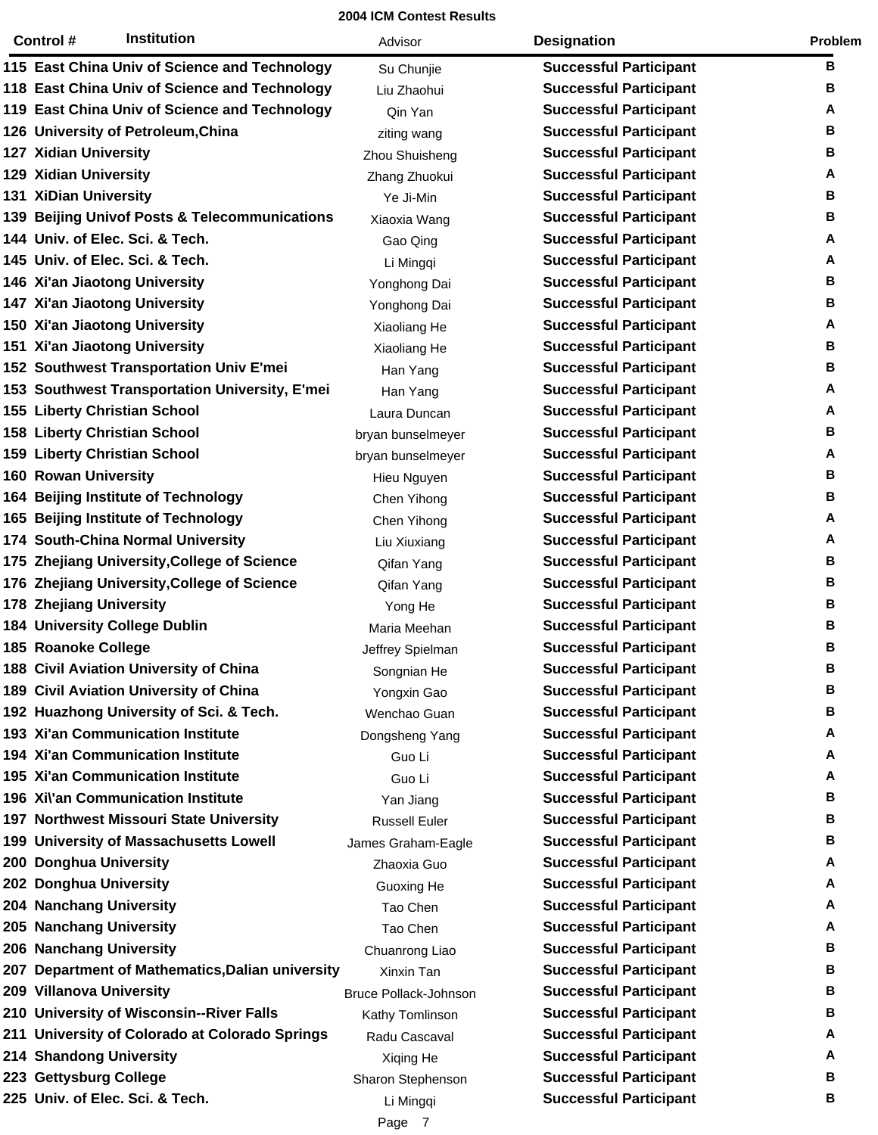|     | Control #                      | <b>Institution</b>                             | Advisor                      | <b>Designation</b>            | Problem |
|-----|--------------------------------|------------------------------------------------|------------------------------|-------------------------------|---------|
|     |                                | 115 East China Univ of Science and Technology  | Su Chunjie                   | <b>Successful Participant</b> | В       |
|     |                                | 118 East China Univ of Science and Technology  | Liu Zhaohui                  | <b>Successful Participant</b> | В       |
|     |                                | 119 East China Univ of Science and Technology  | Qin Yan                      | <b>Successful Participant</b> | А       |
|     |                                | 126 University of Petroleum, China             | ziting wang                  | <b>Successful Participant</b> | В       |
|     | 127 Xidian University          |                                                | Zhou Shuisheng               | <b>Successful Participant</b> | В       |
|     | <b>129 Xidian University</b>   |                                                | Zhang Zhuokui                | <b>Successful Participant</b> | А       |
|     | 131 XiDian University          |                                                | Ye Ji-Min                    | <b>Successful Participant</b> | В       |
|     |                                | 139 Beijing Univof Posts & Telecommunications  | Xiaoxia Wang                 | <b>Successful Participant</b> | В       |
|     |                                | 144 Univ. of Elec. Sci. & Tech.                | Gao Qing                     | <b>Successful Participant</b> | А       |
|     |                                | 145 Univ. of Elec. Sci. & Tech.                | Li Mingqi                    | <b>Successful Participant</b> | А       |
|     |                                | 146 Xi'an Jiaotong University                  | Yonghong Dai                 | <b>Successful Participant</b> | В       |
|     |                                | 147 Xi'an Jiaotong University                  | Yonghong Dai                 | <b>Successful Participant</b> | В       |
|     |                                | 150 Xi'an Jiaotong University                  | Xiaoliang He                 | <b>Successful Participant</b> | А       |
|     |                                | 151 Xi'an Jiaotong University                  | Xiaoliang He                 | <b>Successful Participant</b> | В       |
|     |                                | 152 Southwest Transportation Univ E'mei        | Han Yang                     | <b>Successful Participant</b> | В       |
|     |                                | 153 Southwest Transportation University, E'mei | Han Yang                     | <b>Successful Participant</b> | A       |
|     |                                | 155 Liberty Christian School                   | Laura Duncan                 | <b>Successful Participant</b> | А       |
|     |                                | <b>158 Liberty Christian School</b>            | bryan bunselmeyer            | <b>Successful Participant</b> | В       |
|     |                                | 159 Liberty Christian School                   | bryan bunselmeyer            | <b>Successful Participant</b> | А       |
|     | <b>160 Rowan University</b>    |                                                | Hieu Nguyen                  | <b>Successful Participant</b> | В       |
|     |                                | 164 Beijing Institute of Technology            | Chen Yihong                  | <b>Successful Participant</b> | в       |
|     |                                | 165 Beijing Institute of Technology            | Chen Yihong                  | <b>Successful Participant</b> | А       |
|     |                                | 174 South-China Normal University              | Liu Xiuxiang                 | <b>Successful Participant</b> | А       |
| 175 |                                | Zhejiang University, College of Science        | Qifan Yang                   | <b>Successful Participant</b> | В       |
|     |                                | 176 Zhejiang University, College of Science    | Qifan Yang                   | <b>Successful Participant</b> | В       |
|     | <b>178 Zhejiang University</b> |                                                | Yong He                      | <b>Successful Participant</b> | В       |
|     |                                | <b>184 University College Dublin</b>           | Maria Meehan                 | <b>Successful Participant</b> | В       |
|     | 185 Roanoke College            |                                                | Jeffrey Spielman             | <b>Successful Participant</b> | в       |
|     |                                | 188 Civil Aviation University of China         | Songnian He                  | <b>Successful Participant</b> | в       |
|     |                                | 189 Civil Aviation University of China         | Yongxin Gao                  | <b>Successful Participant</b> | в       |
|     |                                | 192 Huazhong University of Sci. & Tech.        | Wenchao Guan                 | <b>Successful Participant</b> | в       |
|     |                                | 193 Xi'an Communication Institute              | Dongsheng Yang               | <b>Successful Participant</b> | Α       |
|     |                                | <b>194 Xi'an Communication Institute</b>       | Guo Li                       | <b>Successful Participant</b> | Α       |
|     |                                | <b>195 Xi'an Communication Institute</b>       | Guo Li                       | <b>Successful Participant</b> | Α       |
|     |                                | 196 Xi\'an Communication Institute             | Yan Jiang                    | <b>Successful Participant</b> | в       |
|     |                                | 197 Northwest Missouri State University        | <b>Russell Euler</b>         | <b>Successful Participant</b> | в       |
|     |                                | 199 University of Massachusetts Lowell         | James Graham-Eagle           | <b>Successful Participant</b> | в       |
|     | 200 Donghua University         |                                                | Zhaoxia Guo                  | <b>Successful Participant</b> | Α       |
|     | 202 Donghua University         |                                                | Guoxing He                   | <b>Successful Participant</b> | Α       |
|     | 204 Nanchang University        |                                                | Tao Chen                     | <b>Successful Participant</b> | Α       |
|     | 205 Nanchang University        |                                                | Tao Chen                     | <b>Successful Participant</b> | Α       |
|     | 206 Nanchang University        |                                                | Chuanrong Liao               | <b>Successful Participant</b> | в       |
| 207 |                                | Department of Mathematics, Dalian university   | Xinxin Tan                   | <b>Successful Participant</b> | в       |
|     | 209 Villanova University       |                                                | <b>Bruce Pollack-Johnson</b> | <b>Successful Participant</b> | в       |
|     |                                | 210 University of Wisconsin--River Falls       | Kathy Tomlinson              | <b>Successful Participant</b> | в       |
| 211 |                                | University of Colorado at Colorado Springs     | Radu Cascaval                | <b>Successful Participant</b> | Α       |
|     | 214 Shandong University        |                                                | Xiqing He                    | <b>Successful Participant</b> | Α       |
|     | 223 Gettysburg College         |                                                | Sharon Stephenson            | <b>Successful Participant</b> | В       |
|     |                                | 225 Univ. of Elec. Sci. & Tech.                | Li Mingqi                    | <b>Successful Participant</b> | в       |
|     |                                |                                                | Page 7                       |                               |         |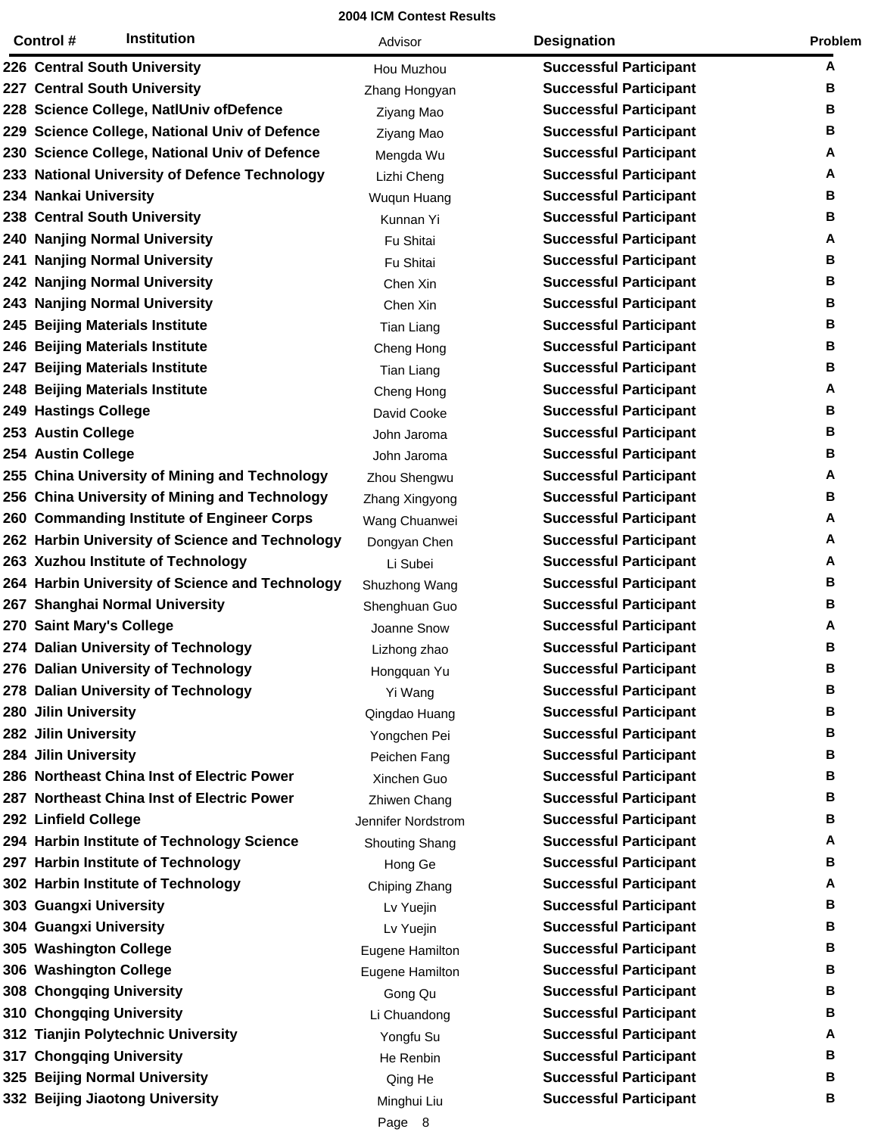|     | <b>Institution</b><br>Control#                  | Advisor               | <b>Designation</b>            | Problem |
|-----|-------------------------------------------------|-----------------------|-------------------------------|---------|
|     | 226 Central South University                    | Hou Muzhou            | <b>Successful Participant</b> | A       |
|     | 227 Central South University                    | Zhang Hongyan         | <b>Successful Participant</b> | В       |
|     | 228 Science College, NatIUniv of Defence        | Ziyang Mao            | <b>Successful Participant</b> | В       |
|     | 229 Science College, National Univ of Defence   | Ziyang Mao            | <b>Successful Participant</b> | В       |
|     | 230 Science College, National Univ of Defence   | Mengda Wu             | <b>Successful Participant</b> | Α       |
|     | 233 National University of Defence Technology   | Lizhi Cheng           | <b>Successful Participant</b> | Α       |
|     | 234 Nankai University                           | Wuqun Huang           | <b>Successful Participant</b> | В       |
|     | 238 Central South University                    | Kunnan Yi             | <b>Successful Participant</b> | В       |
|     | 240 Nanjing Normal University                   | Fu Shitai             | <b>Successful Participant</b> | Α       |
|     | 241 Nanjing Normal University                   | Fu Shitai             | <b>Successful Participant</b> | В       |
|     | 242 Nanjing Normal University                   | Chen Xin              | <b>Successful Participant</b> | В       |
|     | 243 Nanjing Normal University                   | Chen Xin              | <b>Successful Participant</b> | В       |
| 245 | <b>Beijing Materials Institute</b>              | Tian Liang            | <b>Successful Participant</b> | В       |
|     | 246 Beijing Materials Institute                 | Cheng Hong            | <b>Successful Participant</b> | В       |
| 247 | <b>Beijing Materials Institute</b>              | Tian Liang            | <b>Successful Participant</b> | В       |
|     | 248 Beijing Materials Institute                 | Cheng Hong            | <b>Successful Participant</b> | Α       |
|     | <b>249 Hastings College</b>                     | David Cooke           | <b>Successful Participant</b> | В       |
|     | 253 Austin College                              | John Jaroma           | <b>Successful Participant</b> | В       |
|     | 254 Austin College                              | John Jaroma           | <b>Successful Participant</b> | В       |
|     | 255 China University of Mining and Technology   | Zhou Shengwu          | <b>Successful Participant</b> | Α       |
|     | 256 China University of Mining and Technology   | Zhang Xingyong        | <b>Successful Participant</b> | В       |
|     | 260 Commanding Institute of Engineer Corps      | Wang Chuanwei         | <b>Successful Participant</b> | Α       |
|     | 262 Harbin University of Science and Technology | Dongyan Chen          | <b>Successful Participant</b> | A       |
|     | 263 Xuzhou Institute of Technology              | Li Subei              | <b>Successful Participant</b> | Α       |
|     | 264 Harbin University of Science and Technology | Shuzhong Wang         | <b>Successful Participant</b> | В       |
|     | 267 Shanghai Normal University                  | Shenghuan Guo         | <b>Successful Participant</b> | В       |
|     | 270 Saint Mary's College                        | Joanne Snow           | <b>Successful Participant</b> | Α       |
|     | 274 Dalian University of Technology             | Lizhong zhao          | <b>Successful Participant</b> | В       |
|     | 276 Dalian University of Technology             | Hongquan Yu           | <b>Successful Participant</b> | В       |
|     | 278 Dalian University of Technology             | Yi Wang               | <b>Successful Participant</b> | В       |
|     | 280 Jilin University                            | Qingdao Huang         | <b>Successful Participant</b> | В       |
|     | 282 Jilin University                            | Yongchen Pei          | <b>Successful Participant</b> | В       |
|     | 284 Jilin University                            | Peichen Fang          | <b>Successful Participant</b> | В       |
|     | 286 Northeast China Inst of Electric Power      | Xinchen Guo           | <b>Successful Participant</b> | В       |
| 287 | <b>Northeast China Inst of Electric Power</b>   | Zhiwen Chang          | <b>Successful Participant</b> | В       |
|     | 292 Linfield College                            | Jennifer Nordstrom    | <b>Successful Participant</b> | В       |
|     | 294 Harbin Institute of Technology Science      | <b>Shouting Shang</b> | <b>Successful Participant</b> | A       |
|     | 297 Harbin Institute of Technology              | Hong Ge               | <b>Successful Participant</b> | В       |
|     | 302 Harbin Institute of Technology              | Chiping Zhang         | <b>Successful Participant</b> | A       |
|     | 303 Guangxi University                          | Lv Yuejin             | <b>Successful Participant</b> | В       |
|     | 304 Guangxi University                          | Lv Yuejin             | <b>Successful Participant</b> | В       |
|     | 305 Washington College                          | Eugene Hamilton       | <b>Successful Participant</b> | В       |
|     | 306 Washington College                          | Eugene Hamilton       | <b>Successful Participant</b> | В       |
|     | 308 Chongqing University                        | Gong Qu               | <b>Successful Participant</b> | В       |
|     | 310 Chongqing University                        | Li Chuandong          | <b>Successful Participant</b> | В       |
|     | 312 Tianjin Polytechnic University              | Yongfu Su             | <b>Successful Participant</b> | Α       |
|     | 317 Chongqing University                        | He Renbin             | <b>Successful Participant</b> | В       |
|     | 325 Beijing Normal University                   | Qing He               | <b>Successful Participant</b> | в       |
|     | 332 Beijing Jiaotong University                 | Minghui Liu           | <b>Successful Participant</b> | В       |
|     |                                                 | Page 8                |                               |         |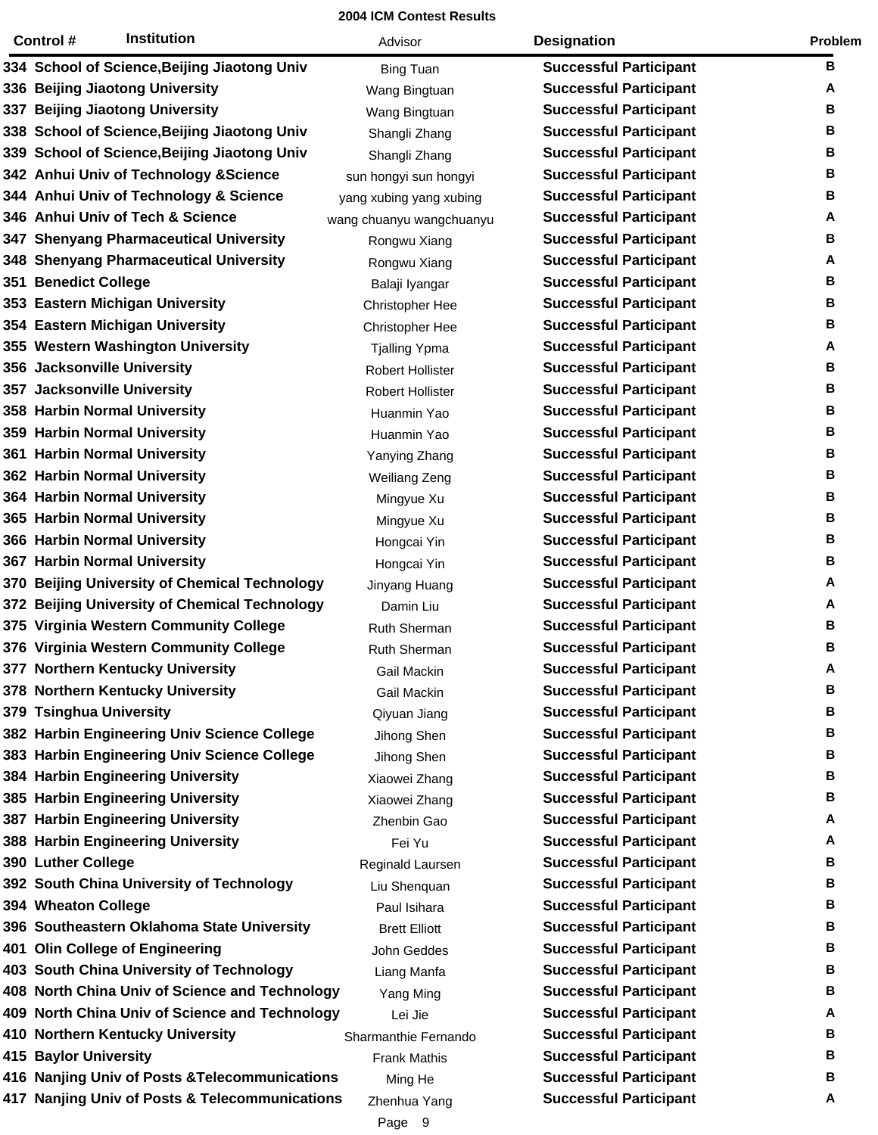|     | <b>Institution</b><br>Control #                | Advisor                  | <b>Designation</b>            | Problem |
|-----|------------------------------------------------|--------------------------|-------------------------------|---------|
|     | 334 School of Science, Beijing Jiaotong Univ   | <b>Bing Tuan</b>         | <b>Successful Participant</b> | в       |
|     | 336 Beijing Jiaotong University                | Wang Bingtuan            | <b>Successful Participant</b> | Α       |
| 337 | <b>Beijing Jiaotong University</b>             | Wang Bingtuan            | <b>Successful Participant</b> | в       |
|     | 338 School of Science, Beijing Jiaotong Univ   | Shangli Zhang            | <b>Successful Participant</b> | В       |
|     | 339 School of Science, Beijing Jiaotong Univ   | Shangli Zhang            | <b>Successful Participant</b> | В       |
|     | 342 Anhui Univ of Technology & Science         | sun hongyi sun hongyi    | <b>Successful Participant</b> | В       |
|     | 344 Anhui Univ of Technology & Science         | yang xubing yang xubing  | <b>Successful Participant</b> | В       |
|     | 346 Anhui Univ of Tech & Science               | wang chuanyu wangchuanyu | <b>Successful Participant</b> | A       |
|     | 347 Shenyang Pharmaceutical University         | Rongwu Xiang             | <b>Successful Participant</b> | В       |
|     | 348 Shenyang Pharmaceutical University         | Rongwu Xiang             | <b>Successful Participant</b> | A       |
|     | 351 Benedict College                           | Balaji Iyangar           | <b>Successful Participant</b> | в       |
|     | 353 Eastern Michigan University                | <b>Christopher Hee</b>   | <b>Successful Participant</b> | В       |
|     | 354 Eastern Michigan University                | <b>Christopher Hee</b>   | <b>Successful Participant</b> | В       |
|     | 355 Western Washington University              | <b>Tjalling Ypma</b>     | <b>Successful Participant</b> | A       |
|     | 356 Jacksonville University                    | <b>Robert Hollister</b>  | <b>Successful Participant</b> | В       |
|     | 357 Jacksonville University                    | <b>Robert Hollister</b>  | <b>Successful Participant</b> | В       |
|     | 358 Harbin Normal University                   | Huanmin Yao              | <b>Successful Participant</b> | В       |
|     | 359 Harbin Normal University                   | Huanmin Yao              | <b>Successful Participant</b> | В       |
|     | 361 Harbin Normal University                   | Yanying Zhang            | <b>Successful Participant</b> | в       |
|     | 362 Harbin Normal University                   | <b>Weiliang Zeng</b>     | <b>Successful Participant</b> | В       |
|     | 364 Harbin Normal University                   | Mingyue Xu               | <b>Successful Participant</b> | В       |
|     | 365 Harbin Normal University                   | Mingyue Xu               | <b>Successful Participant</b> | В       |
|     | 366 Harbin Normal University                   | Hongcai Yin              | <b>Successful Participant</b> | В       |
|     | 367 Harbin Normal University                   | Hongcai Yin              | <b>Successful Participant</b> | В       |
|     | 370 Beijing University of Chemical Technology  | Jinyang Huang            | <b>Successful Participant</b> | A       |
|     | 372 Beijing University of Chemical Technology  | Damin Liu                | <b>Successful Participant</b> | A       |
|     | 375 Virginia Western Community College         | <b>Ruth Sherman</b>      | <b>Successful Participant</b> | В       |
|     | 376 Virginia Western Community College         | Ruth Sherman             | <b>Successful Participant</b> | В       |
|     | 377 Northern Kentucky University               | Gail Mackin              | <b>Successful Participant</b> | A       |
|     | 378 Northern Kentucky University               | Gail Mackin              | <b>Successful Participant</b> | В       |
|     | 379 Tsinghua University                        | Qiyuan Jiang             | <b>Successful Participant</b> | В       |
|     | 382 Harbin Engineering Univ Science College    | Jihong Shen              | <b>Successful Participant</b> | В       |
|     | 383 Harbin Engineering Univ Science College    | Jihong Shen              | <b>Successful Participant</b> | В       |
|     | 384 Harbin Engineering University              | Xiaowei Zhang            | <b>Successful Participant</b> | В       |
|     | 385 Harbin Engineering University              | Xiaowei Zhang            | <b>Successful Participant</b> | В       |
|     | 387 Harbin Engineering University              | Zhenbin Gao              | <b>Successful Participant</b> | Α       |
|     | 388 Harbin Engineering University              | Fei Yu                   | <b>Successful Participant</b> | A       |
|     | 390 Luther College                             | Reginald Laursen         | <b>Successful Participant</b> | В       |
|     | 392 South China University of Technology       | Liu Shenquan             | <b>Successful Participant</b> | В       |
|     | 394 Wheaton College                            | Paul Isihara             | <b>Successful Participant</b> | В       |
|     | 396 Southeastern Oklahoma State University     | <b>Brett Elliott</b>     | <b>Successful Participant</b> | В       |
|     | 401 Olin College of Engineering                | John Geddes              | <b>Successful Participant</b> | В       |
|     | 403 South China University of Technology       | Liang Manfa              | <b>Successful Participant</b> | В       |
|     | 408 North China Univ of Science and Technology | Yang Ming                | <b>Successful Participant</b> | В       |
|     | 409 North China Univ of Science and Technology | Lei Jie                  | <b>Successful Participant</b> | A       |
|     | 410 Northern Kentucky University               | Sharmanthie Fernando     | <b>Successful Participant</b> | В       |
|     | 415 Baylor University                          | <b>Frank Mathis</b>      | <b>Successful Participant</b> | В       |
|     | 416 Nanjing Univ of Posts & Telecommunications | Ming He                  | <b>Successful Participant</b> | В       |
|     | 417 Nanjing Univ of Posts & Telecommunications |                          | <b>Successful Participant</b> | A       |
|     |                                                | Zhenhua Yang             |                               |         |

Page 9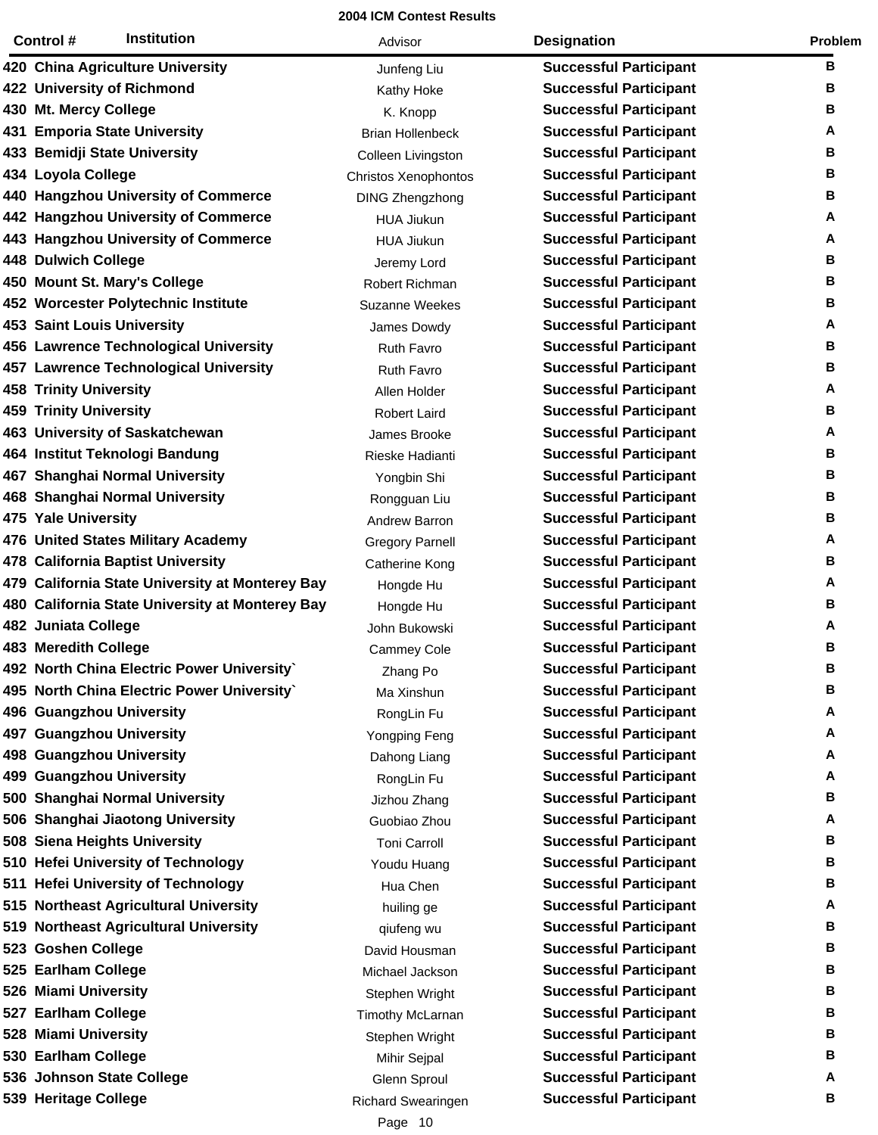| <b>Institution</b><br>Control #                 | Advisor                 | <b>Designation</b>            | Problem |
|-------------------------------------------------|-------------------------|-------------------------------|---------|
| 420 China Agriculture University                | Junfeng Liu             | <b>Successful Participant</b> | в       |
| 422 University of Richmond                      | Kathy Hoke              | <b>Successful Participant</b> | в       |
| 430 Mt. Mercy College                           | K. Knopp                | <b>Successful Participant</b> | В       |
| 431 Emporia State University                    | <b>Brian Hollenbeck</b> | <b>Successful Participant</b> | А       |
| 433 Bemidji State University                    | Colleen Livingston      | <b>Successful Participant</b> | в       |
| 434 Loyola College                              | Christos Xenophontos    | <b>Successful Participant</b> | в       |
| 440 Hangzhou University of Commerce             | <b>DING Zhengzhong</b>  | <b>Successful Participant</b> | В       |
| 442 Hangzhou University of Commerce             | <b>HUA Jiukun</b>       | <b>Successful Participant</b> | А       |
| 443 Hangzhou University of Commerce             | <b>HUA Jiukun</b>       | <b>Successful Participant</b> | A       |
| 448 Dulwich College                             | Jeremy Lord             | <b>Successful Participant</b> | В       |
| 450 Mount St. Mary's College                    | Robert Richman          | <b>Successful Participant</b> | В       |
| 452 Worcester Polytechnic Institute             | Suzanne Weekes          | <b>Successful Participant</b> | В       |
| <b>453 Saint Louis University</b>               | James Dowdy             | <b>Successful Participant</b> | A       |
| 456 Lawrence Technological University           | <b>Ruth Favro</b>       | <b>Successful Participant</b> | в       |
| 457 Lawrence Technological University           | Ruth Favro              | <b>Successful Participant</b> | В       |
| <b>458 Trinity University</b>                   | Allen Holder            | <b>Successful Participant</b> | A       |
| <b>459 Trinity University</b>                   | <b>Robert Laird</b>     | <b>Successful Participant</b> | В       |
| 463 University of Saskatchewan                  | James Brooke            | <b>Successful Participant</b> | A       |
| 464 Institut Teknologi Bandung                  | Rieske Hadianti         | <b>Successful Participant</b> | В       |
| 467 Shanghai Normal University                  | Yongbin Shi             | <b>Successful Participant</b> | В       |
| 468 Shanghai Normal University                  | Rongguan Liu            | <b>Successful Participant</b> | В       |
| 475 Yale University                             | Andrew Barron           | <b>Successful Participant</b> | в       |
| 476 United States Military Academy              | <b>Gregory Parnell</b>  | <b>Successful Participant</b> | A       |
| 478 California Baptist University               | Catherine Kong          | <b>Successful Participant</b> | В       |
| 479 California State University at Monterey Bay | Hongde Hu               | <b>Successful Participant</b> | A       |
| 480 California State University at Monterey Bay | Hongde Hu               | <b>Successful Participant</b> | В       |
| 482 Juniata College                             | John Bukowski           | <b>Successful Participant</b> | A       |
| 483 Meredith College                            | <b>Cammey Cole</b>      | <b>Successful Participant</b> | в       |
| 492 North China Electric Power University`      | Zhang Po                | <b>Successful Participant</b> | в       |
| 495 North China Electric Power University`      | Ma Xinshun              | <b>Successful Participant</b> | В       |
| 496 Guangzhou University                        | RongLin Fu              | <b>Successful Participant</b> | A       |
| 497 Guangzhou University                        | Yongping Feng           | <b>Successful Participant</b> | А       |
| 498 Guangzhou University                        | Dahong Liang            | <b>Successful Participant</b> | A       |
| 499 Guangzhou University                        | RongLin Fu              | <b>Successful Participant</b> | А       |
| 500 Shanghai Normal University                  | Jizhou Zhang            | <b>Successful Participant</b> | В       |
| 506 Shanghai Jiaotong University                | Guobiao Zhou            | <b>Successful Participant</b> | A       |
| 508 Siena Heights University                    | <b>Toni Carroll</b>     | <b>Successful Participant</b> | В       |
| 510 Hefei University of Technology              | Youdu Huang             | <b>Successful Participant</b> | В       |
| 511 Hefei University of Technology              | Hua Chen                | <b>Successful Participant</b> | В       |
| 515 Northeast Agricultural University           | huiling ge              | <b>Successful Participant</b> | А       |
| 519 Northeast Agricultural University           | qiufeng wu              | <b>Successful Participant</b> | В       |
| 523 Goshen College                              | David Housman           | <b>Successful Participant</b> | В       |
| 525 Earlham College                             | Michael Jackson         | <b>Successful Participant</b> | В       |
| 526 Miami University                            | Stephen Wright          | <b>Successful Participant</b> | В       |
| 527 Earlham College                             | Timothy McLarnan        | <b>Successful Participant</b> | В       |
| 528 Miami University                            | Stephen Wright          | <b>Successful Participant</b> | В       |
| 530 Earlham College                             | Mihir Sejpal            | <b>Successful Participant</b> | В       |
| 536 Johnson State College                       | Glenn Sproul            | <b>Successful Participant</b> | Α       |
| 539 Heritage College                            | Richard Swearingen      | <b>Successful Participant</b> | В       |
|                                                 |                         |                               |         |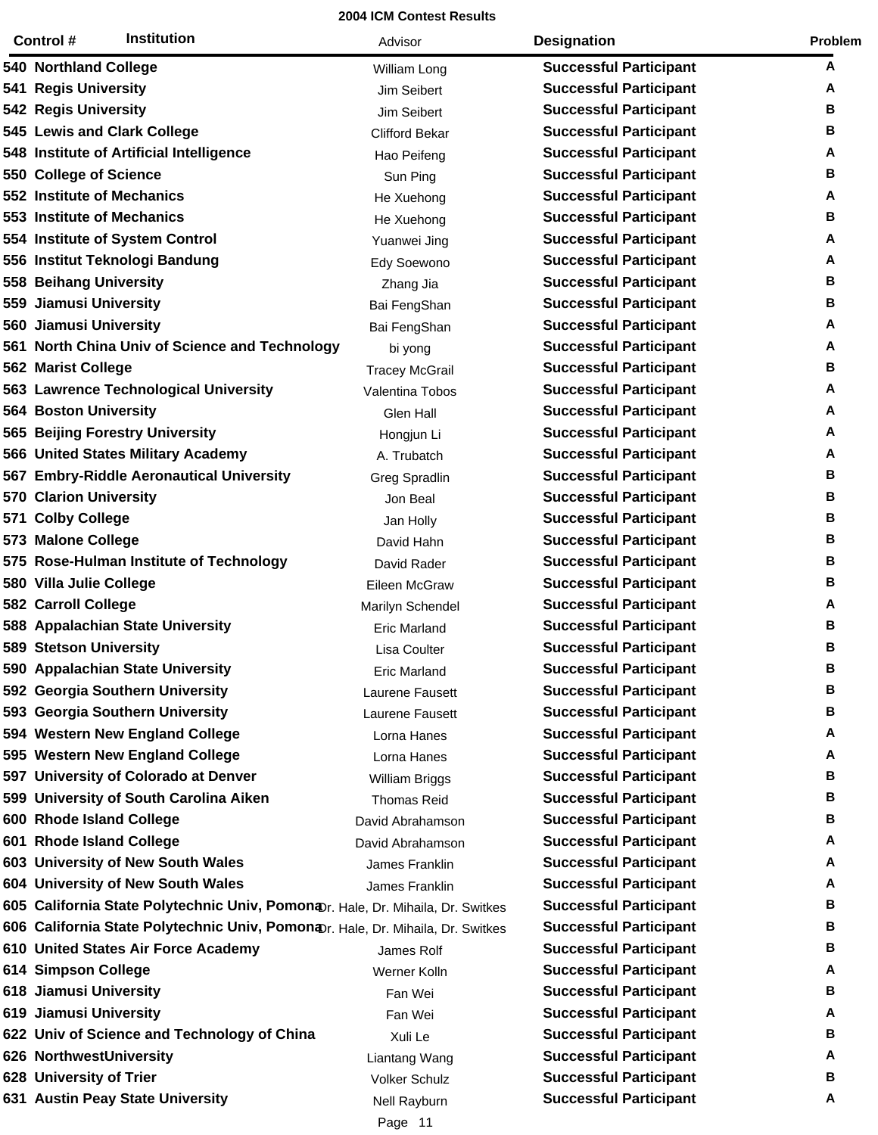|     | <b>Institution</b><br>Control #                                                             | Advisor               | <b>Designation</b>            | Problem |
|-----|---------------------------------------------------------------------------------------------|-----------------------|-------------------------------|---------|
|     | 540 Northland College                                                                       | William Long          | <b>Successful Participant</b> | A       |
|     | 541 Regis University                                                                        | Jim Seibert           | <b>Successful Participant</b> | A       |
|     | 542 Regis University                                                                        | Jim Seibert           | <b>Successful Participant</b> | В       |
|     | 545 Lewis and Clark College                                                                 | <b>Clifford Bekar</b> | <b>Successful Participant</b> | В       |
|     | 548 Institute of Artificial Intelligence                                                    | Hao Peifeng           | <b>Successful Participant</b> | A       |
|     | 550 College of Science                                                                      | Sun Ping              | <b>Successful Participant</b> | В       |
|     | 552 Institute of Mechanics                                                                  | He Xuehong            | <b>Successful Participant</b> | A       |
|     | 553 Institute of Mechanics                                                                  | He Xuehong            | <b>Successful Participant</b> | В       |
|     | 554 Institute of System Control                                                             | Yuanwei Jing          | <b>Successful Participant</b> | A       |
|     | 556 Institut Teknologi Bandung                                                              | Edy Soewono           | <b>Successful Participant</b> | A       |
|     | 558 Beihang University                                                                      | Zhang Jia             | <b>Successful Participant</b> | В       |
|     | 559 Jiamusi University                                                                      | Bai FengShan          | <b>Successful Participant</b> | В       |
|     | 560 Jiamusi University                                                                      | Bai FengShan          | <b>Successful Participant</b> | A       |
|     | 561 North China Univ of Science and Technology                                              | bi yong               | <b>Successful Participant</b> | A       |
|     | <b>562 Marist College</b>                                                                   | <b>Tracey McGrail</b> | <b>Successful Participant</b> | В       |
|     | 563 Lawrence Technological University                                                       | Valentina Tobos       | <b>Successful Participant</b> | A       |
|     | <b>564 Boston University</b>                                                                | Glen Hall             | <b>Successful Participant</b> | A       |
|     | 565 Beijing Forestry University                                                             | Hongjun Li            | <b>Successful Participant</b> | A       |
|     | 566 United States Military Academy                                                          | A. Trubatch           | <b>Successful Participant</b> | A       |
|     | 567 Embry-Riddle Aeronautical University                                                    | Greg Spradlin         | <b>Successful Participant</b> | В       |
| 570 | <b>Clarion University</b>                                                                   | Jon Beal              | <b>Successful Participant</b> | В       |
| 571 | <b>Colby College</b>                                                                        | Jan Holly             | <b>Successful Participant</b> | В       |
|     | 573 Malone College                                                                          | David Hahn            | <b>Successful Participant</b> | В       |
|     | 575 Rose-Hulman Institute of Technology                                                     | David Rader           | <b>Successful Participant</b> | В       |
|     | 580 Villa Julie College                                                                     | Eileen McGraw         | <b>Successful Participant</b> | В       |
|     | 582 Carroll College                                                                         | Marilyn Schendel      | <b>Successful Participant</b> | A       |
|     | 588 Appalachian State University                                                            | <b>Eric Marland</b>   | <b>Successful Participant</b> | В       |
|     | <b>589 Stetson University</b>                                                               | <b>Lisa Coulter</b>   | <b>Successful Participant</b> | В       |
|     | 590 Appalachian State University                                                            | <b>Eric Marland</b>   | <b>Successful Participant</b> | В       |
|     | 592 Georgia Southern University                                                             | Laurene Fausett       | <b>Successful Participant</b> | В       |
|     | 593 Georgia Southern University                                                             | Laurene Fausett       | <b>Successful Participant</b> | в       |
|     | 594 Western New England College                                                             | Lorna Hanes           | <b>Successful Participant</b> | A       |
|     | 595 Western New England College                                                             | Lorna Hanes           | <b>Successful Participant</b> | A       |
|     | 597 University of Colorado at Denver                                                        | William Briggs        | <b>Successful Participant</b> | В       |
|     | 599 University of South Carolina Aiken                                                      | <b>Thomas Reid</b>    | <b>Successful Participant</b> | В       |
|     | 600 Rhode Island College                                                                    | David Abrahamson      | <b>Successful Participant</b> | в       |
|     | 601 Rhode Island College                                                                    | David Abrahamson      | <b>Successful Participant</b> | A       |
|     | 603 University of New South Wales                                                           | James Franklin        | <b>Successful Participant</b> | A       |
|     | 604 University of New South Wales                                                           | James Franklin        | <b>Successful Participant</b> | A       |
|     | 605 California State Polytechnic Univ, Pomona Tr. Hale, Dr. Mihaila, Dr. Switkes            |                       | <b>Successful Participant</b> | в       |
|     | 606 California State Polytechnic Univ, Pomon <sub>4Dr. Hale, Dr. Mihaila, Dr. Switkes</sub> |                       | <b>Successful Participant</b> | В       |
|     | 610 United States Air Force Academy                                                         | James Rolf            | <b>Successful Participant</b> | в       |
|     | 614 Simpson College                                                                         | Werner Kolln          | <b>Successful Participant</b> | A       |
|     | 618 Jiamusi University                                                                      | Fan Wei               | <b>Successful Participant</b> | в       |
|     | 619 Jiamusi University                                                                      | Fan Wei               | <b>Successful Participant</b> | A       |
|     | 622 Univ of Science and Technology of China                                                 | Xuli Le               | <b>Successful Participant</b> | в       |
|     | 626 NorthwestUniversity                                                                     | Liantang Wang         | <b>Successful Participant</b> | A       |
|     | 628 University of Trier                                                                     | <b>Volker Schulz</b>  | <b>Successful Participant</b> | В       |
|     | 631 Austin Peay State University                                                            | Nell Rayburn          | <b>Successful Participant</b> | A       |
|     |                                                                                             | Page 11               |                               |         |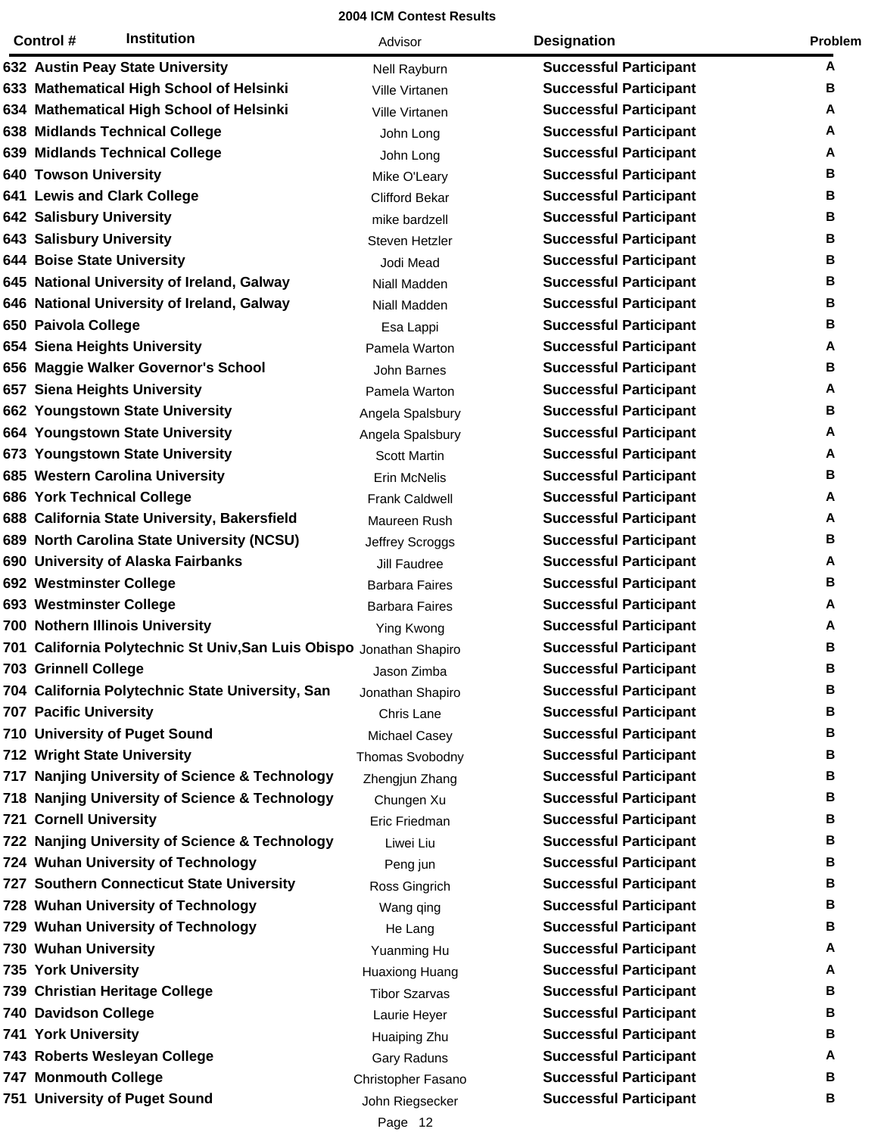| <b>Institution</b><br>Control #                                      | Advisor               | <b>Designation</b>            | Problem |
|----------------------------------------------------------------------|-----------------------|-------------------------------|---------|
| 632 Austin Peay State University                                     | Nell Rayburn          | <b>Successful Participant</b> | A       |
| 633 Mathematical High School of Helsinki                             | Ville Virtanen        | <b>Successful Participant</b> | В       |
| 634 Mathematical High School of Helsinki                             | Ville Virtanen        | <b>Successful Participant</b> | A       |
| 638 Midlands Technical College                                       | John Long             | <b>Successful Participant</b> | A       |
| 639 Midlands Technical College                                       | John Long             | <b>Successful Participant</b> | Α       |
| <b>640 Towson University</b>                                         | Mike O'Leary          | <b>Successful Participant</b> | в       |
| 641 Lewis and Clark College                                          | <b>Clifford Bekar</b> | <b>Successful Participant</b> | В       |
| <b>642 Salisbury University</b>                                      | mike bardzell         | <b>Successful Participant</b> | в       |
| <b>643 Salisbury University</b>                                      | Steven Hetzler        | <b>Successful Participant</b> | В       |
| <b>644 Boise State University</b>                                    | Jodi Mead             | <b>Successful Participant</b> | в       |
| 645 National University of Ireland, Galway                           | Niall Madden          | <b>Successful Participant</b> | В       |
| 646 National University of Ireland, Galway                           | Niall Madden          | <b>Successful Participant</b> | в       |
| 650 Paivola College                                                  | Esa Lappi             | <b>Successful Participant</b> | В       |
| 654 Siena Heights University                                         | Pamela Warton         | <b>Successful Participant</b> | A       |
| 656 Maggie Walker Governor's School                                  | John Barnes           | <b>Successful Participant</b> | В       |
| 657 Siena Heights University                                         | Pamela Warton         | <b>Successful Participant</b> | А       |
| 662 Youngstown State University                                      | Angela Spalsbury      | <b>Successful Participant</b> | В       |
| 664 Youngstown State University                                      | Angela Spalsbury      | <b>Successful Participant</b> | A       |
| 673 Youngstown State University                                      | <b>Scott Martin</b>   | <b>Successful Participant</b> | Α       |
| 685 Western Carolina University                                      | Erin McNelis          | <b>Successful Participant</b> | В       |
| 686 York Technical College                                           | <b>Frank Caldwell</b> | <b>Successful Participant</b> | A       |
| 688 California State University, Bakersfield                         | Maureen Rush          | <b>Successful Participant</b> | A       |
| 689 North Carolina State University (NCSU)                           | Jeffrey Scroggs       | <b>Successful Participant</b> | В       |
| 690 University of Alaska Fairbanks                                   | Jill Faudree          | <b>Successful Participant</b> | A       |
| 692 Westminster College                                              | <b>Barbara Faires</b> | <b>Successful Participant</b> | В       |
| 693 Westminster College                                              | <b>Barbara Faires</b> | <b>Successful Participant</b> | A       |
| 700 Nothern Illinois University                                      | Ying Kwong            | <b>Successful Participant</b> | Α       |
| 701 California Polytechnic St Univ, San Luis Obispo Jonathan Shapiro |                       | <b>Successful Participant</b> | В       |
| <b>703 Grinnell College</b>                                          | Jason Zimba           | <b>Successful Participant</b> | в       |
| 704 California Polytechnic State University, San                     | Jonathan Shapiro      | <b>Successful Participant</b> | В       |
| <b>707 Pacific University</b>                                        | Chris Lane            | <b>Successful Participant</b> | В       |
| 710 University of Puget Sound                                        | Michael Casey         | <b>Successful Participant</b> | в       |
| 712 Wright State University                                          | Thomas Svobodny       | <b>Successful Participant</b> | В       |
| 717 Nanjing University of Science & Technology                       | Zhengjun Zhang        | <b>Successful Participant</b> | В       |
| 718 Nanjing University of Science & Technology                       | Chungen Xu            | <b>Successful Participant</b> | В       |
| <b>721 Cornell University</b>                                        | Eric Friedman         | <b>Successful Participant</b> | в       |
| 722 Nanjing University of Science & Technology                       | Liwei Liu             | <b>Successful Participant</b> | В       |
| 724 Wuhan University of Technology                                   | Peng jun              | <b>Successful Participant</b> | в       |
| 727 Southern Connecticut State University                            | Ross Gingrich         | <b>Successful Participant</b> | в       |
| 728 Wuhan University of Technology                                   | Wang qing             | <b>Successful Participant</b> | в       |
| 729 Wuhan University of Technology                                   | He Lang               | <b>Successful Participant</b> | В       |
| 730 Wuhan University                                                 | Yuanming Hu           | <b>Successful Participant</b> | A       |
| 735 York University                                                  | <b>Huaxiong Huang</b> | <b>Successful Participant</b> | A       |
| 739 Christian Heritage College                                       | <b>Tibor Szarvas</b>  | <b>Successful Participant</b> | В       |
| <b>740 Davidson College</b>                                          | Laurie Heyer          | <b>Successful Participant</b> | В       |
| <b>741 York University</b>                                           | Huaiping Zhu          | <b>Successful Participant</b> | В       |
| 743 Roberts Wesleyan College                                         | Gary Raduns           | <b>Successful Participant</b> | A       |
| <b>747 Monmouth College</b>                                          | Christopher Fasano    | <b>Successful Participant</b> | В       |
| 751 University of Puget Sound                                        | John Riegsecker       | <b>Successful Participant</b> | в       |
|                                                                      |                       |                               |         |